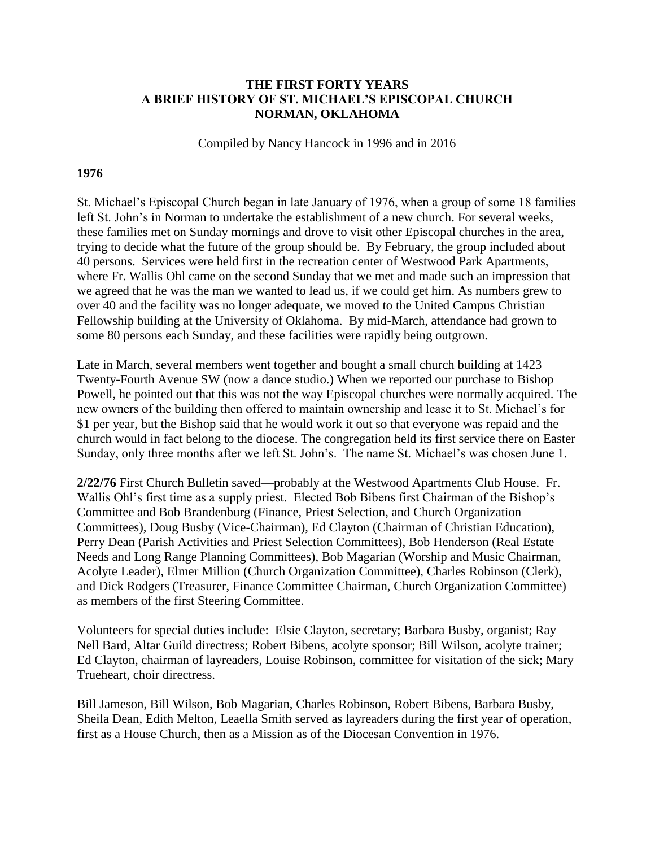#### **THE FIRST FORTY YEARS A BRIEF HISTORY OF ST. MICHAEL'S EPISCOPAL CHURCH NORMAN, OKLAHOMA**

Compiled by Nancy Hancock in 1996 and in 2016

#### **1976**

St. Michael's Episcopal Church began in late January of 1976, when a group of some 18 families left St. John's in Norman to undertake the establishment of a new church. For several weeks, these families met on Sunday mornings and drove to visit other Episcopal churches in the area, trying to decide what the future of the group should be. By February, the group included about 40 persons. Services were held first in the recreation center of Westwood Park Apartments, where Fr. Wallis Ohl came on the second Sunday that we met and made such an impression that we agreed that he was the man we wanted to lead us, if we could get him. As numbers grew to over 40 and the facility was no longer adequate, we moved to the United Campus Christian Fellowship building at the University of Oklahoma. By mid-March, attendance had grown to some 80 persons each Sunday, and these facilities were rapidly being outgrown.

Late in March, several members went together and bought a small church building at 1423 Twenty-Fourth Avenue SW (now a dance studio.) When we reported our purchase to Bishop Powell, he pointed out that this was not the way Episcopal churches were normally acquired. The new owners of the building then offered to maintain ownership and lease it to St. Michael's for \$1 per year, but the Bishop said that he would work it out so that everyone was repaid and the church would in fact belong to the diocese. The congregation held its first service there on Easter Sunday, only three months after we left St. John's. The name St. Michael's was chosen June 1.

**2/22/76** First Church Bulletin saved—probably at the Westwood Apartments Club House. Fr. Wallis Ohl's first time as a supply priest. Elected Bob Bibens first Chairman of the Bishop's Committee and Bob Brandenburg (Finance, Priest Selection, and Church Organization Committees), Doug Busby (Vice-Chairman), Ed Clayton (Chairman of Christian Education), Perry Dean (Parish Activities and Priest Selection Committees), Bob Henderson (Real Estate Needs and Long Range Planning Committees), Bob Magarian (Worship and Music Chairman, Acolyte Leader), Elmer Million (Church Organization Committee), Charles Robinson (Clerk), and Dick Rodgers (Treasurer, Finance Committee Chairman, Church Organization Committee) as members of the first Steering Committee.

Volunteers for special duties include: Elsie Clayton, secretary; Barbara Busby, organist; Ray Nell Bard, Altar Guild directress; Robert Bibens, acolyte sponsor; Bill Wilson, acolyte trainer; Ed Clayton, chairman of layreaders, Louise Robinson, committee for visitation of the sick; Mary Trueheart, choir directress.

Bill Jameson, Bill Wilson, Bob Magarian, Charles Robinson, Robert Bibens, Barbara Busby, Sheila Dean, Edith Melton, Leaella Smith served as layreaders during the first year of operation, first as a House Church, then as a Mission as of the Diocesan Convention in 1976.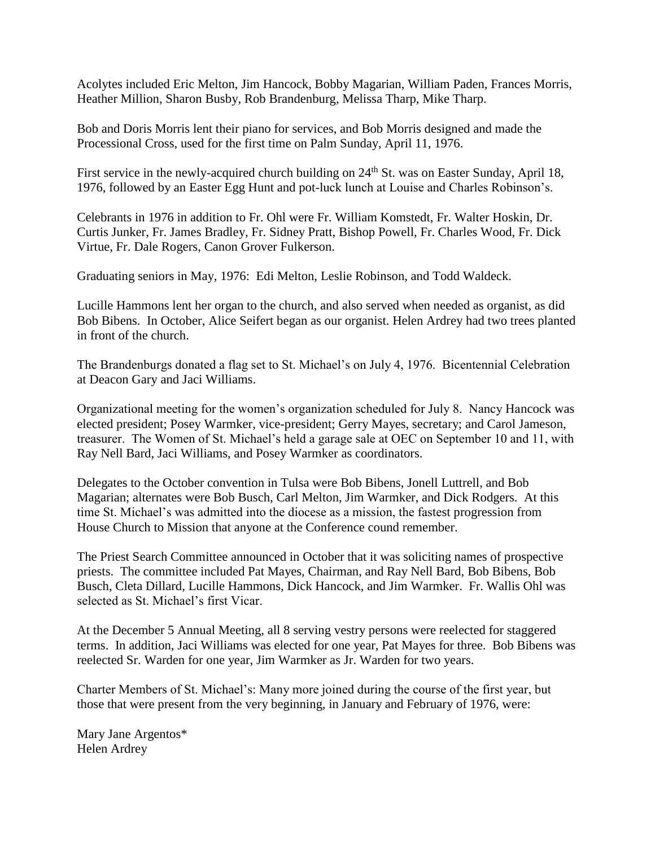Acolytes included Eric Melton, Jim Hancock, Bobby Magarian, William Paden, Frances Morris, Heather Million, Sharon Busby, Rob Brandenburg, Melissa Tharp, Mike Tharp.

Bob and Doris Morris lent their piano for services, and Bob Morris designed and made the Processional Cross, used for the first time on Palm Sunday, April 11, 1976.

First service in the newly-acquired church building on 24<sup>th</sup> St. was on Easter Sunday, April 18, 1976, followed by an Easter Egg Hunt and pot-luck lunch at Louise and Charles Robinson's.

Celebrants in 1976 in addition to Fr. Ohl were Fr. William Komstedt, Fr. Walter Hoskin, Dr. Curtis Junker, Fr. James Bradley, Fr. Sidney Pratt, Bishop Powell, Fr. Charles Wood, Fr. Dick Virtue, Fr. Dale Rogers, Canon Grover Fulkerson.

Graduating seniors in May, 1976: Edi Melton, Leslie Robinson, and Todd Waldeck.

Lucille Hammons lent her organ to the church, and also served when needed as organist, as did Bob Bibens. In October, Alice Seifert began as our organist. Helen Ardrey had two trees planted in front of the church.

The Brandenburgs donated a flag set to St. Michael's on July 4, 1976. Bicentennial Celebration at Deacon Gary and Jaci Williams.

Organizational meeting for the women's organization scheduled for July 8. Nancy Hancock was elected president; Posey Warmker, vice-president; Gerry Mayes, secretary; and Carol Jameson, treasurer. The Women of St. Michael's held a garage sale at OEC on September 10 and 11, with Ray Nell Bard, Jaci Williams, and Posey Warmker as coordinators.

Delegates to the October convention in Tulsa were Bob Bibens, Jonell Luttrell, and Bob Magarian; alternates were Bob Busch, Carl Melton, Jim Warmker, and Dick Rodgers. At this time St. Michael's was admitted into the diocese as a mission, the fastest progression from House Church to Mission that anyone at the Conference cound remember.

The Priest Search Committee announced in October that it was soliciting names of prospective priests. The committee included Pat Mayes, Chairman, and Ray Nell Bard, Bob Bibens, Bob Busch, Cleta Dillard, Lucille Hammons, Dick Hancock, and Jim Warmker. Fr. Wallis Ohl was selected as St. Michael's first Vicar.

At the December 5 Annual Meeting, all 8 serving vestry persons were reelected for staggered terms. In addition, Jaci Williams was elected for one year, Pat Mayes for three. Bob Bibens was reelected Sr. Warden for one year, Jim Warmker as Jr. Warden for two years.

Charter Members of St. Michael's: Many more joined during the course of the first year, but those that were present from the very beginning, in January and February of 1976, were:

Mary Jane Argentos\* Helen Ardrey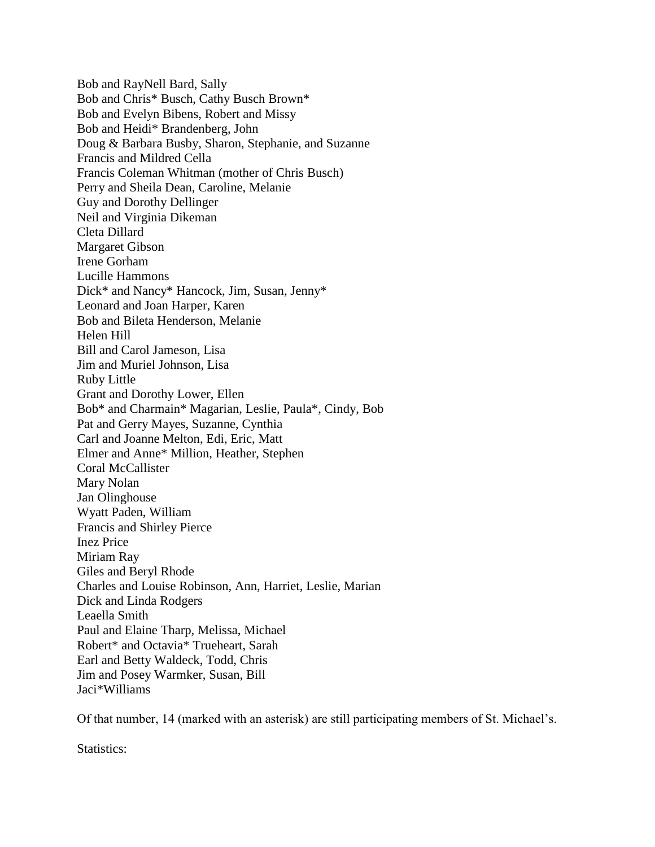Bob and RayNell Bard, Sally Bob and Chris\* Busch, Cathy Busch Brown\* Bob and Evelyn Bibens, Robert and Missy Bob and Heidi\* Brandenberg, John Doug & Barbara Busby, Sharon, Stephanie, and Suzanne Francis and Mildred Cella Francis Coleman Whitman (mother of Chris Busch) Perry and Sheila Dean, Caroline, Melanie Guy and Dorothy Dellinger Neil and Virginia Dikeman Cleta Dillard Margaret Gibson Irene Gorham Lucille Hammons Dick\* and Nancy\* Hancock, Jim, Susan, Jenny\* Leonard and Joan Harper, Karen Bob and Bileta Henderson, Melanie Helen Hill Bill and Carol Jameson, Lisa Jim and Muriel Johnson, Lisa Ruby Little Grant and Dorothy Lower, Ellen Bob\* and Charmain\* Magarian, Leslie, Paula\*, Cindy, Bob Pat and Gerry Mayes, Suzanne, Cynthia Carl and Joanne Melton, Edi, Eric, Matt Elmer and Anne\* Million, Heather, Stephen Coral McCallister Mary Nolan Jan Olinghouse Wyatt Paden, William Francis and Shirley Pierce Inez Price Miriam Ray Giles and Beryl Rhode Charles and Louise Robinson, Ann, Harriet, Leslie, Marian Dick and Linda Rodgers Leaella Smith Paul and Elaine Tharp, Melissa, Michael Robert\* and Octavia\* Trueheart, Sarah Earl and Betty Waldeck, Todd, Chris Jim and Posey Warmker, Susan, Bill Jaci\*Williams

Of that number, 14 (marked with an asterisk) are still participating members of St. Michael's.

Statistics: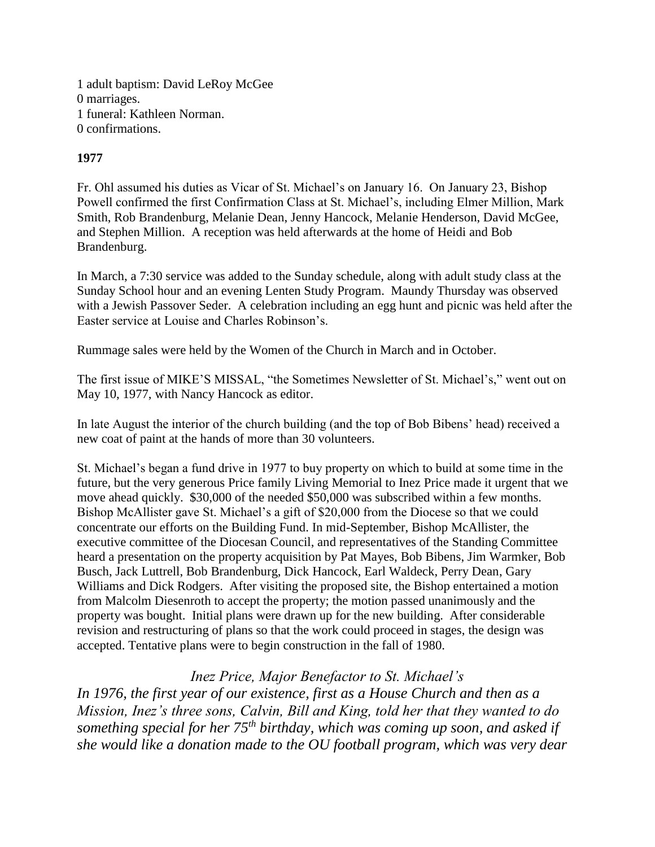1 adult baptism: David LeRoy McGee 0 marriages. 1 funeral: Kathleen Norman. 0 confirmations.

## **1977**

Fr. Ohl assumed his duties as Vicar of St. Michael's on January 16. On January 23, Bishop Powell confirmed the first Confirmation Class at St. Michael's, including Elmer Million, Mark Smith, Rob Brandenburg, Melanie Dean, Jenny Hancock, Melanie Henderson, David McGee, and Stephen Million. A reception was held afterwards at the home of Heidi and Bob Brandenburg.

In March, a 7:30 service was added to the Sunday schedule, along with adult study class at the Sunday School hour and an evening Lenten Study Program. Maundy Thursday was observed with a Jewish Passover Seder. A celebration including an egg hunt and picnic was held after the Easter service at Louise and Charles Robinson's.

Rummage sales were held by the Women of the Church in March and in October.

The first issue of MIKE'S MISSAL, "the Sometimes Newsletter of St. Michael's," went out on May 10, 1977, with Nancy Hancock as editor.

In late August the interior of the church building (and the top of Bob Bibens' head) received a new coat of paint at the hands of more than 30 volunteers.

St. Michael's began a fund drive in 1977 to buy property on which to build at some time in the future, but the very generous Price family Living Memorial to Inez Price made it urgent that we move ahead quickly. \$30,000 of the needed \$50,000 was subscribed within a few months. Bishop McAllister gave St. Michael's a gift of \$20,000 from the Diocese so that we could concentrate our efforts on the Building Fund. In mid-September, Bishop McAllister, the executive committee of the Diocesan Council, and representatives of the Standing Committee heard a presentation on the property acquisition by Pat Mayes, Bob Bibens, Jim Warmker, Bob Busch, Jack Luttrell, Bob Brandenburg, Dick Hancock, Earl Waldeck, Perry Dean, Gary Williams and Dick Rodgers. After visiting the proposed site, the Bishop entertained a motion from Malcolm Diesenroth to accept the property; the motion passed unanimously and the property was bought. Initial plans were drawn up for the new building. After considerable revision and restructuring of plans so that the work could proceed in stages, the design was accepted. Tentative plans were to begin construction in the fall of 1980.

# *Inez Price, Major Benefactor to St. Michael's*

*In 1976, the first year of our existence, first as a House Church and then as a Mission, Inez's three sons, Calvin, Bill and King, told her that they wanted to do something special for her 75th birthday, which was coming up soon, and asked if she would like a donation made to the OU football program, which was very dear*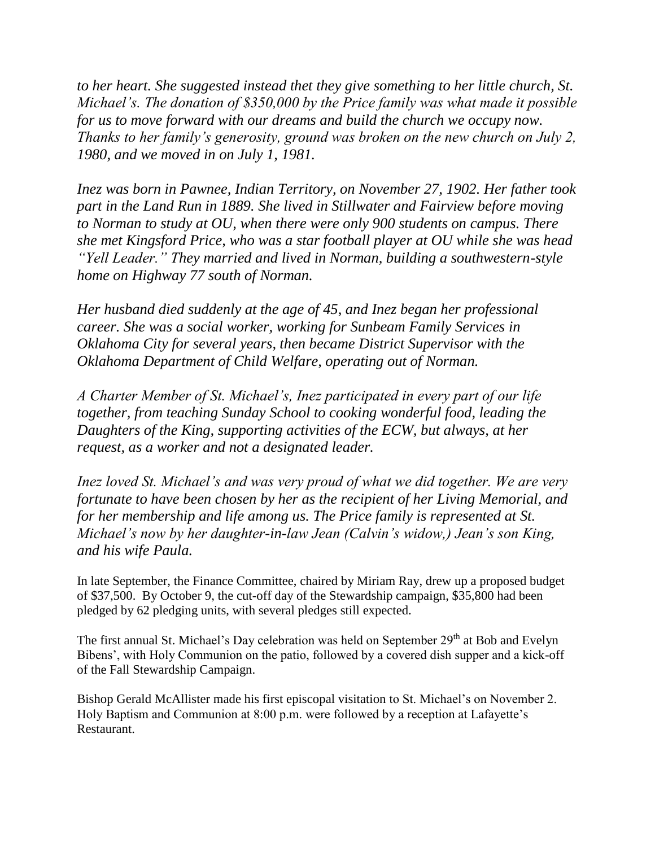*to her heart. She suggested instead thet they give something to her little church, St. Michael's. The donation of \$350,000 by the Price family was what made it possible for us to move forward with our dreams and build the church we occupy now. Thanks to her family's generosity, ground was broken on the new church on July 2, 1980, and we moved in on July 1, 1981.*

*Inez was born in Pawnee, Indian Territory, on November 27, 1902. Her father took part in the Land Run in 1889. She lived in Stillwater and Fairview before moving to Norman to study at OU, when there were only 900 students on campus. There she met Kingsford Price, who was a star football player at OU while she was head "Yell Leader." They married and lived in Norman, building a southwestern-style home on Highway 77 south of Norman.* 

*Her husband died suddenly at the age of 45, and Inez began her professional career. She was a social worker, working for Sunbeam Family Services in Oklahoma City for several years, then became District Supervisor with the Oklahoma Department of Child Welfare, operating out of Norman.*

*A Charter Member of St. Michael's, Inez participated in every part of our life together, from teaching Sunday School to cooking wonderful food, leading the Daughters of the King, supporting activities of the ECW, but always, at her request, as a worker and not a designated leader.*

*Inez loved St. Michael's and was very proud of what we did together. We are very fortunate to have been chosen by her as the recipient of her Living Memorial, and for her membership and life among us. The Price family is represented at St. Michael's now by her daughter-in-law Jean (Calvin's widow,) Jean's son King, and his wife Paula.*

In late September, the Finance Committee, chaired by Miriam Ray, drew up a proposed budget of \$37,500. By October 9, the cut-off day of the Stewardship campaign, \$35,800 had been pledged by 62 pledging units, with several pledges still expected.

The first annual St. Michael's Day celebration was held on September 29<sup>th</sup> at Bob and Evelyn Bibens', with Holy Communion on the patio, followed by a covered dish supper and a kick-off of the Fall Stewardship Campaign.

Bishop Gerald McAllister made his first episcopal visitation to St. Michael's on November 2. Holy Baptism and Communion at 8:00 p.m. were followed by a reception at Lafayette's Restaurant.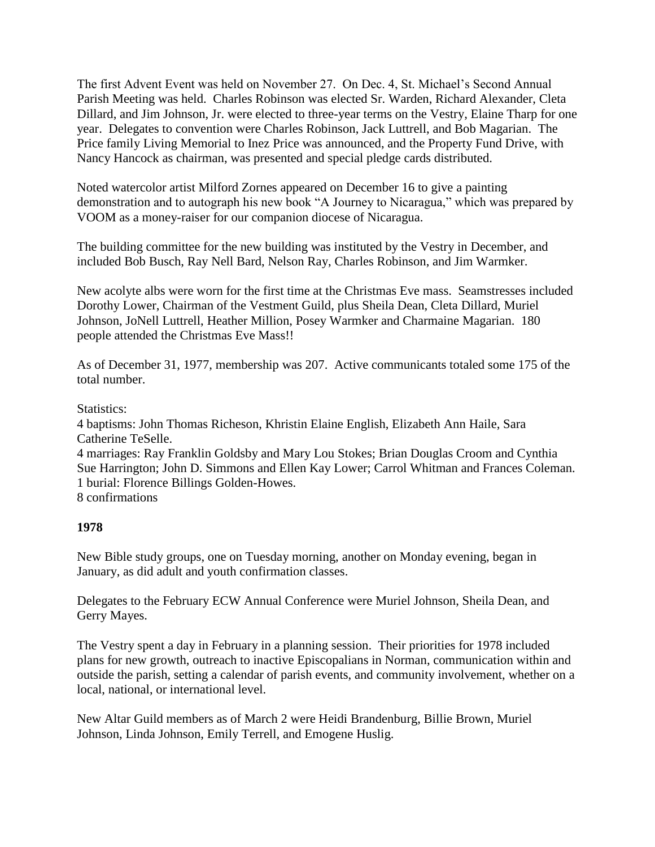The first Advent Event was held on November 27. On Dec. 4, St. Michael's Second Annual Parish Meeting was held. Charles Robinson was elected Sr. Warden, Richard Alexander, Cleta Dillard, and Jim Johnson, Jr. were elected to three-year terms on the Vestry, Elaine Tharp for one year. Delegates to convention were Charles Robinson, Jack Luttrell, and Bob Magarian. The Price family Living Memorial to Inez Price was announced, and the Property Fund Drive, with Nancy Hancock as chairman, was presented and special pledge cards distributed.

Noted watercolor artist Milford Zornes appeared on December 16 to give a painting demonstration and to autograph his new book "A Journey to Nicaragua," which was prepared by VOOM as a money-raiser for our companion diocese of Nicaragua.

The building committee for the new building was instituted by the Vestry in December, and included Bob Busch, Ray Nell Bard, Nelson Ray, Charles Robinson, and Jim Warmker.

New acolyte albs were worn for the first time at the Christmas Eve mass. Seamstresses included Dorothy Lower, Chairman of the Vestment Guild, plus Sheila Dean, Cleta Dillard, Muriel Johnson, JoNell Luttrell, Heather Million, Posey Warmker and Charmaine Magarian. 180 people attended the Christmas Eve Mass!!

As of December 31, 1977, membership was 207. Active communicants totaled some 175 of the total number.

#### Statistics:

4 baptisms: John Thomas Richeson, Khristin Elaine English, Elizabeth Ann Haile, Sara Catherine TeSelle.

4 marriages: Ray Franklin Goldsby and Mary Lou Stokes; Brian Douglas Croom and Cynthia Sue Harrington; John D. Simmons and Ellen Kay Lower; Carrol Whitman and Frances Coleman. 1 burial: Florence Billings Golden-Howes.

8 confirmations

## **1978**

New Bible study groups, one on Tuesday morning, another on Monday evening, began in January, as did adult and youth confirmation classes.

Delegates to the February ECW Annual Conference were Muriel Johnson, Sheila Dean, and Gerry Mayes.

The Vestry spent a day in February in a planning session. Their priorities for 1978 included plans for new growth, outreach to inactive Episcopalians in Norman, communication within and outside the parish, setting a calendar of parish events, and community involvement, whether on a local, national, or international level.

New Altar Guild members as of March 2 were Heidi Brandenburg, Billie Brown, Muriel Johnson, Linda Johnson, Emily Terrell, and Emogene Huslig.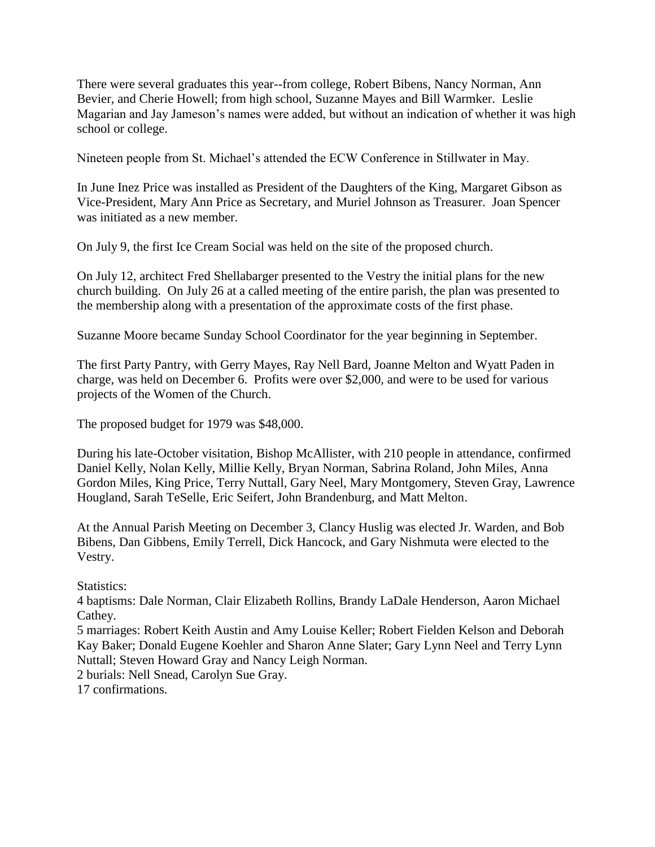There were several graduates this year--from college, Robert Bibens, Nancy Norman, Ann Bevier, and Cherie Howell; from high school, Suzanne Mayes and Bill Warmker. Leslie Magarian and Jay Jameson's names were added, but without an indication of whether it was high school or college.

Nineteen people from St. Michael's attended the ECW Conference in Stillwater in May.

In June Inez Price was installed as President of the Daughters of the King, Margaret Gibson as Vice-President, Mary Ann Price as Secretary, and Muriel Johnson as Treasurer. Joan Spencer was initiated as a new member.

On July 9, the first Ice Cream Social was held on the site of the proposed church.

On July 12, architect Fred Shellabarger presented to the Vestry the initial plans for the new church building. On July 26 at a called meeting of the entire parish, the plan was presented to the membership along with a presentation of the approximate costs of the first phase.

Suzanne Moore became Sunday School Coordinator for the year beginning in September.

The first Party Pantry, with Gerry Mayes, Ray Nell Bard, Joanne Melton and Wyatt Paden in charge, was held on December 6. Profits were over \$2,000, and were to be used for various projects of the Women of the Church.

The proposed budget for 1979 was \$48,000.

During his late-October visitation, Bishop McAllister, with 210 people in attendance, confirmed Daniel Kelly, Nolan Kelly, Millie Kelly, Bryan Norman, Sabrina Roland, John Miles, Anna Gordon Miles, King Price, Terry Nuttall, Gary Neel, Mary Montgomery, Steven Gray, Lawrence Hougland, Sarah TeSelle, Eric Seifert, John Brandenburg, and Matt Melton.

At the Annual Parish Meeting on December 3, Clancy Huslig was elected Jr. Warden, and Bob Bibens, Dan Gibbens, Emily Terrell, Dick Hancock, and Gary Nishmuta were elected to the Vestry.

Statistics:

4 baptisms: Dale Norman, Clair Elizabeth Rollins, Brandy LaDale Henderson, Aaron Michael Cathey.

5 marriages: Robert Keith Austin and Amy Louise Keller; Robert Fielden Kelson and Deborah Kay Baker; Donald Eugene Koehler and Sharon Anne Slater; Gary Lynn Neel and Terry Lynn Nuttall; Steven Howard Gray and Nancy Leigh Norman.

2 burials: Nell Snead, Carolyn Sue Gray.

17 confirmations.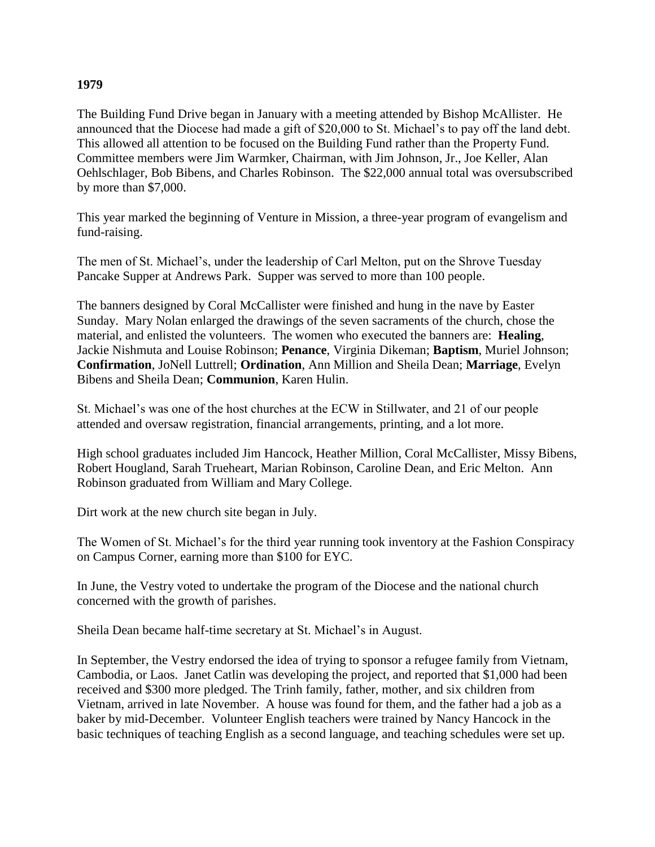#### **1979**

The Building Fund Drive began in January with a meeting attended by Bishop McAllister. He announced that the Diocese had made a gift of \$20,000 to St. Michael's to pay off the land debt. This allowed all attention to be focused on the Building Fund rather than the Property Fund. Committee members were Jim Warmker, Chairman, with Jim Johnson, Jr., Joe Keller, Alan Oehlschlager, Bob Bibens, and Charles Robinson. The \$22,000 annual total was oversubscribed by more than \$7,000.

This year marked the beginning of Venture in Mission, a three-year program of evangelism and fund-raising.

The men of St. Michael's, under the leadership of Carl Melton, put on the Shrove Tuesday Pancake Supper at Andrews Park. Supper was served to more than 100 people.

The banners designed by Coral McCallister were finished and hung in the nave by Easter Sunday. Mary Nolan enlarged the drawings of the seven sacraments of the church, chose the material, and enlisted the volunteers. The women who executed the banners are: **Healing**, Jackie Nishmuta and Louise Robinson; **Penance**, Virginia Dikeman; **Baptism**, Muriel Johnson; **Confirmation**, JoNell Luttrell; **Ordination**, Ann Million and Sheila Dean; **Marriage**, Evelyn Bibens and Sheila Dean; **Communion**, Karen Hulin.

St. Michael's was one of the host churches at the ECW in Stillwater, and 21 of our people attended and oversaw registration, financial arrangements, printing, and a lot more.

High school graduates included Jim Hancock, Heather Million, Coral McCallister, Missy Bibens, Robert Hougland, Sarah Trueheart, Marian Robinson, Caroline Dean, and Eric Melton. Ann Robinson graduated from William and Mary College.

Dirt work at the new church site began in July.

The Women of St. Michael's for the third year running took inventory at the Fashion Conspiracy on Campus Corner, earning more than \$100 for EYC.

In June, the Vestry voted to undertake the program of the Diocese and the national church concerned with the growth of parishes.

Sheila Dean became half-time secretary at St. Michael's in August.

In September, the Vestry endorsed the idea of trying to sponsor a refugee family from Vietnam, Cambodia, or Laos. Janet Catlin was developing the project, and reported that \$1,000 had been received and \$300 more pledged. The Trinh family, father, mother, and six children from Vietnam, arrived in late November. A house was found for them, and the father had a job as a baker by mid-December. Volunteer English teachers were trained by Nancy Hancock in the basic techniques of teaching English as a second language, and teaching schedules were set up.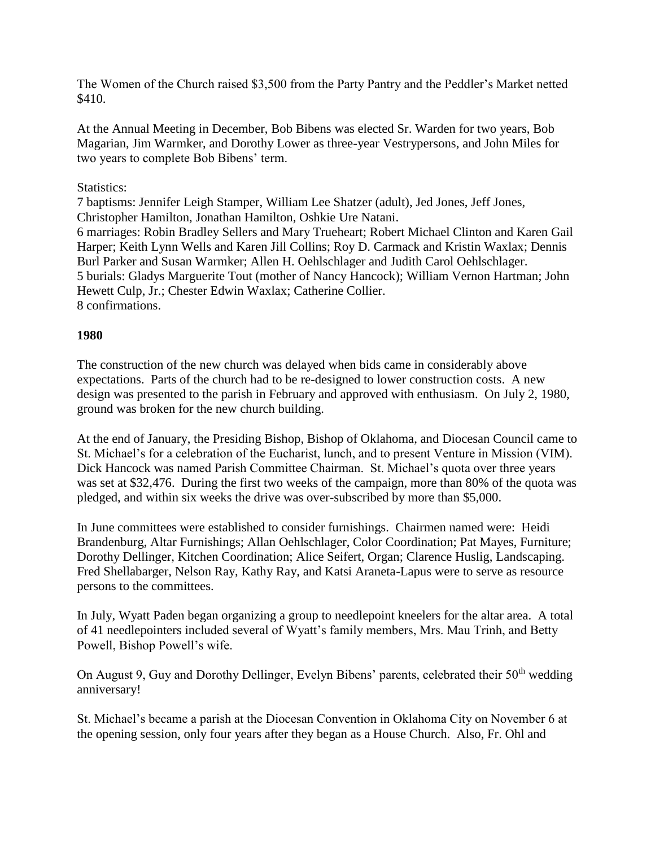The Women of the Church raised \$3,500 from the Party Pantry and the Peddler's Market netted \$410.

At the Annual Meeting in December, Bob Bibens was elected Sr. Warden for two years, Bob Magarian, Jim Warmker, and Dorothy Lower as three-year Vestrypersons, and John Miles for two years to complete Bob Bibens' term.

#### Statistics:

7 baptisms: Jennifer Leigh Stamper, William Lee Shatzer (adult), Jed Jones, Jeff Jones, Christopher Hamilton, Jonathan Hamilton, Oshkie Ure Natani. 6 marriages: Robin Bradley Sellers and Mary Trueheart; Robert Michael Clinton and Karen Gail Harper; Keith Lynn Wells and Karen Jill Collins; Roy D. Carmack and Kristin Waxlax; Dennis Burl Parker and Susan Warmker; Allen H. Oehlschlager and Judith Carol Oehlschlager. 5 burials: Gladys Marguerite Tout (mother of Nancy Hancock); William Vernon Hartman; John Hewett Culp, Jr.; Chester Edwin Waxlax; Catherine Collier. 8 confirmations.

#### **1980**

The construction of the new church was delayed when bids came in considerably above expectations. Parts of the church had to be re-designed to lower construction costs. A new design was presented to the parish in February and approved with enthusiasm. On July 2, 1980, ground was broken for the new church building.

At the end of January, the Presiding Bishop, Bishop of Oklahoma, and Diocesan Council came to St. Michael's for a celebration of the Eucharist, lunch, and to present Venture in Mission (VIM). Dick Hancock was named Parish Committee Chairman. St. Michael's quota over three years was set at \$32,476. During the first two weeks of the campaign, more than 80% of the quota was pledged, and within six weeks the drive was over-subscribed by more than \$5,000.

In June committees were established to consider furnishings. Chairmen named were: Heidi Brandenburg, Altar Furnishings; Allan Oehlschlager, Color Coordination; Pat Mayes, Furniture; Dorothy Dellinger, Kitchen Coordination; Alice Seifert, Organ; Clarence Huslig, Landscaping. Fred Shellabarger, Nelson Ray, Kathy Ray, and Katsi Araneta-Lapus were to serve as resource persons to the committees.

In July, Wyatt Paden began organizing a group to needlepoint kneelers for the altar area. A total of 41 needlepointers included several of Wyatt's family members, Mrs. Mau Trinh, and Betty Powell, Bishop Powell's wife.

On August 9, Guy and Dorothy Dellinger, Evelyn Bibens' parents, celebrated their 50<sup>th</sup> wedding anniversary!

St. Michael's became a parish at the Diocesan Convention in Oklahoma City on November 6 at the opening session, only four years after they began as a House Church. Also, Fr. Ohl and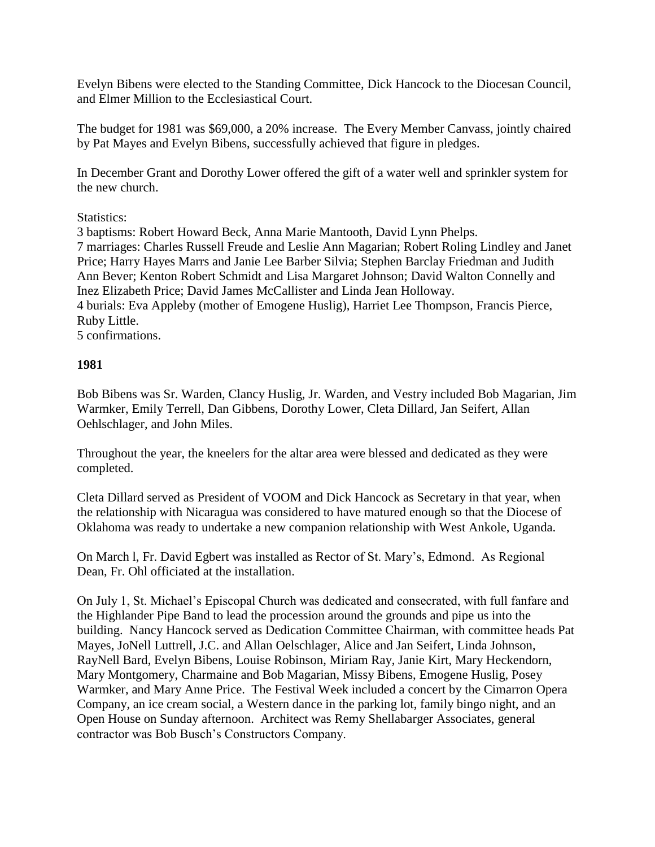Evelyn Bibens were elected to the Standing Committee, Dick Hancock to the Diocesan Council, and Elmer Million to the Ecclesiastical Court.

The budget for 1981 was \$69,000, a 20% increase. The Every Member Canvass, jointly chaired by Pat Mayes and Evelyn Bibens, successfully achieved that figure in pledges.

In December Grant and Dorothy Lower offered the gift of a water well and sprinkler system for the new church.

#### Statistics:

3 baptisms: Robert Howard Beck, Anna Marie Mantooth, David Lynn Phelps. 7 marriages: Charles Russell Freude and Leslie Ann Magarian; Robert Roling Lindley and Janet Price; Harry Hayes Marrs and Janie Lee Barber Silvia; Stephen Barclay Friedman and Judith Ann Bever; Kenton Robert Schmidt and Lisa Margaret Johnson; David Walton Connelly and Inez Elizabeth Price; David James McCallister and Linda Jean Holloway. 4 burials: Eva Appleby (mother of Emogene Huslig), Harriet Lee Thompson, Francis Pierce,

# Ruby Little.

5 confirmations.

#### **1981**

Bob Bibens was Sr. Warden, Clancy Huslig, Jr. Warden, and Vestry included Bob Magarian, Jim Warmker, Emily Terrell, Dan Gibbens, Dorothy Lower, Cleta Dillard, Jan Seifert, Allan Oehlschlager, and John Miles.

Throughout the year, the kneelers for the altar area were blessed and dedicated as they were completed.

Cleta Dillard served as President of VOOM and Dick Hancock as Secretary in that year, when the relationship with Nicaragua was considered to have matured enough so that the Diocese of Oklahoma was ready to undertake a new companion relationship with West Ankole, Uganda.

On March l, Fr. David Egbert was installed as Rector of St. Mary's, Edmond. As Regional Dean, Fr. Ohl officiated at the installation.

On July 1, St. Michael's Episcopal Church was dedicated and consecrated, with full fanfare and the Highlander Pipe Band to lead the procession around the grounds and pipe us into the building. Nancy Hancock served as Dedication Committee Chairman, with committee heads Pat Mayes, JoNell Luttrell, J.C. and Allan Oelschlager, Alice and Jan Seifert, Linda Johnson, RayNell Bard, Evelyn Bibens, Louise Robinson, Miriam Ray, Janie Kirt, Mary Heckendorn, Mary Montgomery, Charmaine and Bob Magarian, Missy Bibens, Emogene Huslig, Posey Warmker, and Mary Anne Price. The Festival Week included a concert by the Cimarron Opera Company, an ice cream social, a Western dance in the parking lot, family bingo night, and an Open House on Sunday afternoon. Architect was Remy Shellabarger Associates, general contractor was Bob Busch's Constructors Company.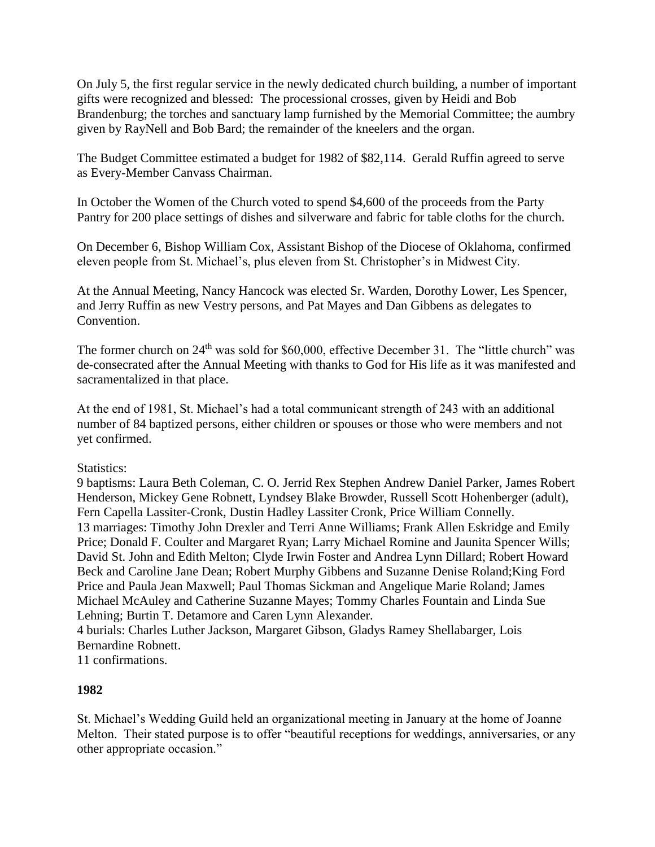On July 5, the first regular service in the newly dedicated church building, a number of important gifts were recognized and blessed: The processional crosses, given by Heidi and Bob Brandenburg; the torches and sanctuary lamp furnished by the Memorial Committee; the aumbry given by RayNell and Bob Bard; the remainder of the kneelers and the organ.

The Budget Committee estimated a budget for 1982 of \$82,114. Gerald Ruffin agreed to serve as Every-Member Canvass Chairman.

In October the Women of the Church voted to spend \$4,600 of the proceeds from the Party Pantry for 200 place settings of dishes and silverware and fabric for table cloths for the church.

On December 6, Bishop William Cox, Assistant Bishop of the Diocese of Oklahoma, confirmed eleven people from St. Michael's, plus eleven from St. Christopher's in Midwest City.

At the Annual Meeting, Nancy Hancock was elected Sr. Warden, Dorothy Lower, Les Spencer, and Jerry Ruffin as new Vestry persons, and Pat Mayes and Dan Gibbens as delegates to Convention.

The former church on 24<sup>th</sup> was sold for \$60,000, effective December 31. The "little church" was de-consecrated after the Annual Meeting with thanks to God for His life as it was manifested and sacramentalized in that place.

At the end of 1981, St. Michael's had a total communicant strength of 243 with an additional number of 84 baptized persons, either children or spouses or those who were members and not yet confirmed.

Statistics:

9 baptisms: Laura Beth Coleman, C. O. Jerrid Rex Stephen Andrew Daniel Parker, James Robert Henderson, Mickey Gene Robnett, Lyndsey Blake Browder, Russell Scott Hohenberger (adult), Fern Capella Lassiter-Cronk, Dustin Hadley Lassiter Cronk, Price William Connelly. 13 marriages: Timothy John Drexler and Terri Anne Williams; Frank Allen Eskridge and Emily Price; Donald F. Coulter and Margaret Ryan; Larry Michael Romine and Jaunita Spencer Wills; David St. John and Edith Melton; Clyde Irwin Foster and Andrea Lynn Dillard; Robert Howard Beck and Caroline Jane Dean; Robert Murphy Gibbens and Suzanne Denise Roland;King Ford Price and Paula Jean Maxwell; Paul Thomas Sickman and Angelique Marie Roland; James Michael McAuley and Catherine Suzanne Mayes; Tommy Charles Fountain and Linda Sue Lehning; Burtin T. Detamore and Caren Lynn Alexander. 4 burials: Charles Luther Jackson, Margaret Gibson, Gladys Ramey Shellabarger, Lois

Bernardine Robnett.

11 confirmations.

# **1982**

St. Michael's Wedding Guild held an organizational meeting in January at the home of Joanne Melton. Their stated purpose is to offer "beautiful receptions for weddings, anniversaries, or any other appropriate occasion."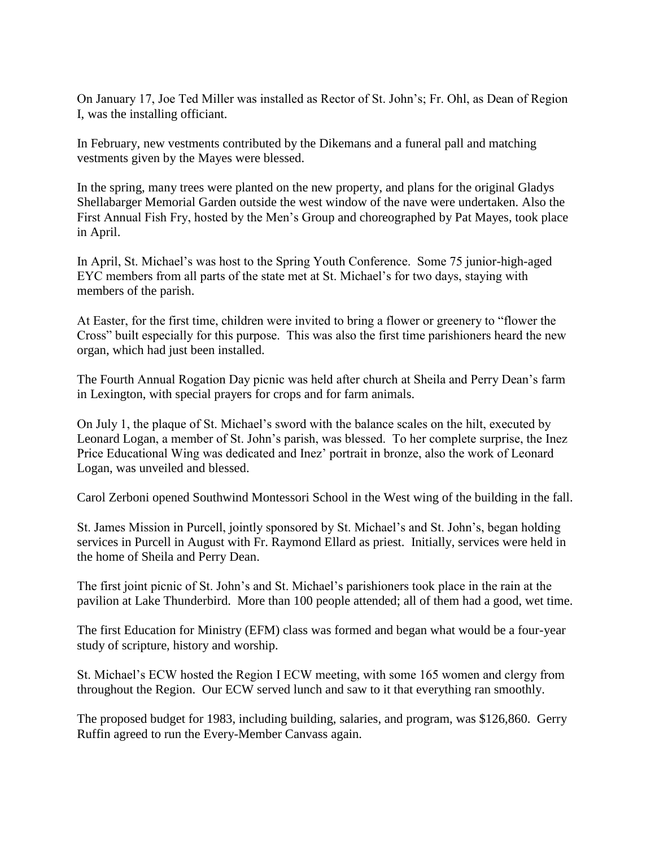On January 17, Joe Ted Miller was installed as Rector of St. John's; Fr. Ohl, as Dean of Region I, was the installing officiant.

In February, new vestments contributed by the Dikemans and a funeral pall and matching vestments given by the Mayes were blessed.

In the spring, many trees were planted on the new property, and plans for the original Gladys Shellabarger Memorial Garden outside the west window of the nave were undertaken. Also the First Annual Fish Fry, hosted by the Men's Group and choreographed by Pat Mayes, took place in April.

In April, St. Michael's was host to the Spring Youth Conference. Some 75 junior-high-aged EYC members from all parts of the state met at St. Michael's for two days, staying with members of the parish.

At Easter, for the first time, children were invited to bring a flower or greenery to "flower the Cross" built especially for this purpose. This was also the first time parishioners heard the new organ, which had just been installed.

The Fourth Annual Rogation Day picnic was held after church at Sheila and Perry Dean's farm in Lexington, with special prayers for crops and for farm animals.

On July 1, the plaque of St. Michael's sword with the balance scales on the hilt, executed by Leonard Logan, a member of St. John's parish, was blessed. To her complete surprise, the Inez Price Educational Wing was dedicated and Inez' portrait in bronze, also the work of Leonard Logan, was unveiled and blessed.

Carol Zerboni opened Southwind Montessori School in the West wing of the building in the fall.

St. James Mission in Purcell, jointly sponsored by St. Michael's and St. John's, began holding services in Purcell in August with Fr. Raymond Ellard as priest. Initially, services were held in the home of Sheila and Perry Dean.

The first joint picnic of St. John's and St. Michael's parishioners took place in the rain at the pavilion at Lake Thunderbird. More than 100 people attended; all of them had a good, wet time.

The first Education for Ministry (EFM) class was formed and began what would be a four-year study of scripture, history and worship.

St. Michael's ECW hosted the Region I ECW meeting, with some 165 women and clergy from throughout the Region. Our ECW served lunch and saw to it that everything ran smoothly.

The proposed budget for 1983, including building, salaries, and program, was \$126,860. Gerry Ruffin agreed to run the Every-Member Canvass again.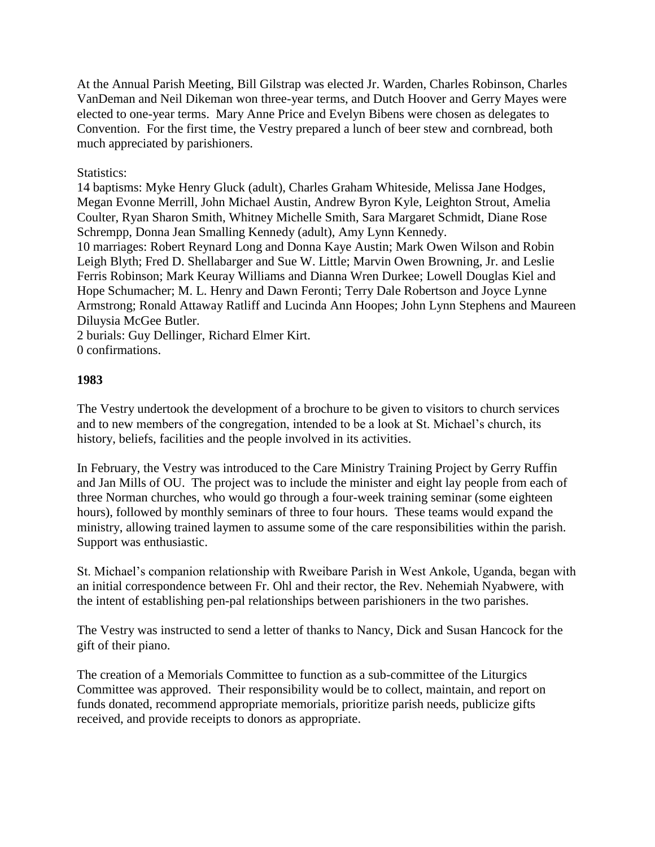At the Annual Parish Meeting, Bill Gilstrap was elected Jr. Warden, Charles Robinson, Charles VanDeman and Neil Dikeman won three-year terms, and Dutch Hoover and Gerry Mayes were elected to one-year terms. Mary Anne Price and Evelyn Bibens were chosen as delegates to Convention. For the first time, the Vestry prepared a lunch of beer stew and cornbread, both much appreciated by parishioners.

#### Statistics:

14 baptisms: Myke Henry Gluck (adult), Charles Graham Whiteside, Melissa Jane Hodges, Megan Evonne Merrill, John Michael Austin, Andrew Byron Kyle, Leighton Strout, Amelia Coulter, Ryan Sharon Smith, Whitney Michelle Smith, Sara Margaret Schmidt, Diane Rose Schrempp, Donna Jean Smalling Kennedy (adult), Amy Lynn Kennedy.

10 marriages: Robert Reynard Long and Donna Kaye Austin; Mark Owen Wilson and Robin Leigh Blyth; Fred D. Shellabarger and Sue W. Little; Marvin Owen Browning, Jr. and Leslie Ferris Robinson; Mark Keuray Williams and Dianna Wren Durkee; Lowell Douglas Kiel and Hope Schumacher; M. L. Henry and Dawn Feronti; Terry Dale Robertson and Joyce Lynne Armstrong; Ronald Attaway Ratliff and Lucinda Ann Hoopes; John Lynn Stephens and Maureen Diluysia McGee Butler.

2 burials: Guy Dellinger, Richard Elmer Kirt. 0 confirmations.

#### **1983**

The Vestry undertook the development of a brochure to be given to visitors to church services and to new members of the congregation, intended to be a look at St. Michael's church, its history, beliefs, facilities and the people involved in its activities.

In February, the Vestry was introduced to the Care Ministry Training Project by Gerry Ruffin and Jan Mills of OU. The project was to include the minister and eight lay people from each of three Norman churches, who would go through a four-week training seminar (some eighteen hours), followed by monthly seminars of three to four hours. These teams would expand the ministry, allowing trained laymen to assume some of the care responsibilities within the parish. Support was enthusiastic.

St. Michael's companion relationship with Rweibare Parish in West Ankole, Uganda, began with an initial correspondence between Fr. Ohl and their rector, the Rev. Nehemiah Nyabwere, with the intent of establishing pen-pal relationships between parishioners in the two parishes.

The Vestry was instructed to send a letter of thanks to Nancy, Dick and Susan Hancock for the gift of their piano.

The creation of a Memorials Committee to function as a sub-committee of the Liturgics Committee was approved. Their responsibility would be to collect, maintain, and report on funds donated, recommend appropriate memorials, prioritize parish needs, publicize gifts received, and provide receipts to donors as appropriate.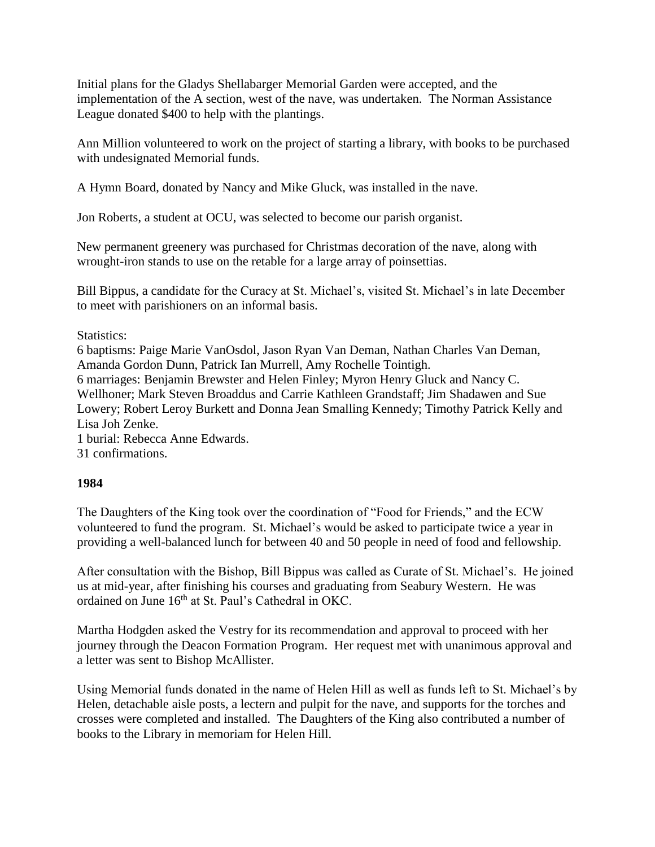Initial plans for the Gladys Shellabarger Memorial Garden were accepted, and the implementation of the A section, west of the nave, was undertaken. The Norman Assistance League donated \$400 to help with the plantings.

Ann Million volunteered to work on the project of starting a library, with books to be purchased with undesignated Memorial funds.

A Hymn Board, donated by Nancy and Mike Gluck, was installed in the nave.

Jon Roberts, a student at OCU, was selected to become our parish organist.

New permanent greenery was purchased for Christmas decoration of the nave, along with wrought-iron stands to use on the retable for a large array of poinsettias.

Bill Bippus, a candidate for the Curacy at St. Michael's, visited St. Michael's in late December to meet with parishioners on an informal basis.

Statistics:

6 baptisms: Paige Marie VanOsdol, Jason Ryan Van Deman, Nathan Charles Van Deman, Amanda Gordon Dunn, Patrick Ian Murrell, Amy Rochelle Tointigh. 6 marriages: Benjamin Brewster and Helen Finley; Myron Henry Gluck and Nancy C. Wellhoner; Mark Steven Broaddus and Carrie Kathleen Grandstaff; Jim Shadawen and Sue Lowery; Robert Leroy Burkett and Donna Jean Smalling Kennedy; Timothy Patrick Kelly and Lisa Joh Zenke. 1 burial: Rebecca Anne Edwards.

31 confirmations.

#### **1984**

The Daughters of the King took over the coordination of "Food for Friends," and the ECW volunteered to fund the program. St. Michael's would be asked to participate twice a year in providing a well-balanced lunch for between 40 and 50 people in need of food and fellowship.

After consultation with the Bishop, Bill Bippus was called as Curate of St. Michael's. He joined us at mid-year, after finishing his courses and graduating from Seabury Western. He was ordained on June 16<sup>th</sup> at St. Paul's Cathedral in OKC.

Martha Hodgden asked the Vestry for its recommendation and approval to proceed with her journey through the Deacon Formation Program. Her request met with unanimous approval and a letter was sent to Bishop McAllister.

Using Memorial funds donated in the name of Helen Hill as well as funds left to St. Michael's by Helen, detachable aisle posts, a lectern and pulpit for the nave, and supports for the torches and crosses were completed and installed. The Daughters of the King also contributed a number of books to the Library in memoriam for Helen Hill.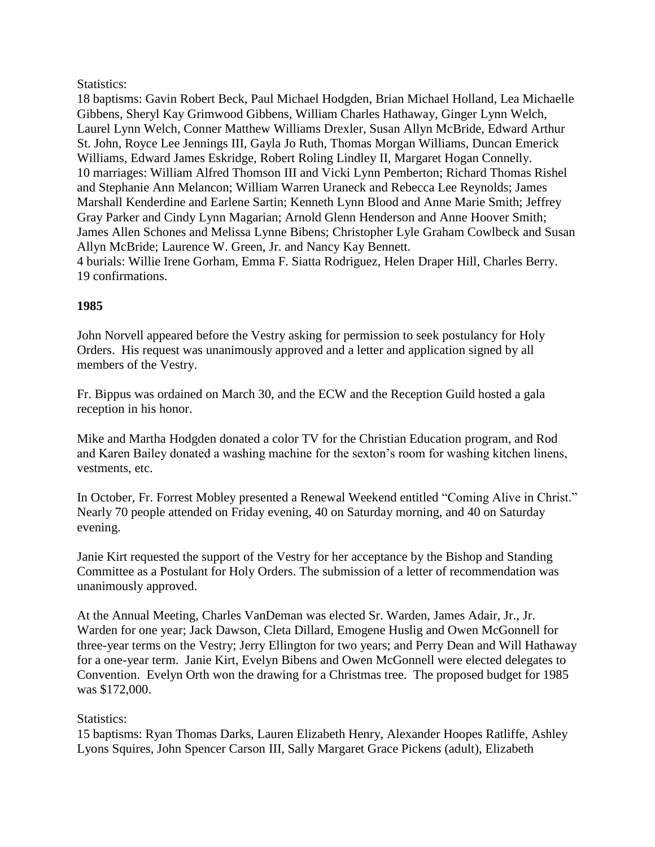#### Statistics:

18 baptisms: Gavin Robert Beck, Paul Michael Hodgden, Brian Michael Holland, Lea Michaelle Gibbens, Sheryl Kay Grimwood Gibbens, William Charles Hathaway, Ginger Lynn Welch, Laurel Lynn Welch, Conner Matthew Williams Drexler, Susan Allyn McBride, Edward Arthur St. John, Royce Lee Jennings III, Gayla Jo Ruth, Thomas Morgan Williams, Duncan Emerick Williams, Edward James Eskridge, Robert Roling Lindley II, Margaret Hogan Connelly. 10 marriages: William Alfred Thomson III and Vicki Lynn Pemberton; Richard Thomas Rishel and Stephanie Ann Melancon; William Warren Uraneck and Rebecca Lee Reynolds; James Marshall Kenderdine and Earlene Sartin; Kenneth Lynn Blood and Anne Marie Smith; Jeffrey Gray Parker and Cindy Lynn Magarian; Arnold Glenn Henderson and Anne Hoover Smith; James Allen Schones and Melissa Lynne Bibens; Christopher Lyle Graham Cowlbeck and Susan Allyn McBride; Laurence W. Green, Jr. and Nancy Kay Bennett. 4 burials: Willie Irene Gorham, Emma F. Siatta Rodriguez, Helen Draper Hill, Charles Berry. 19 confirmations.

## **1985**

John Norvell appeared before the Vestry asking for permission to seek postulancy for Holy Orders. His request was unanimously approved and a letter and application signed by all members of the Vestry.

Fr. Bippus was ordained on March 30, and the ECW and the Reception Guild hosted a gala reception in his honor.

Mike and Martha Hodgden donated a color TV for the Christian Education program, and Rod and Karen Bailey donated a washing machine for the sexton's room for washing kitchen linens, vestments, etc.

In October, Fr. Forrest Mobley presented a Renewal Weekend entitled "Coming Alive in Christ." Nearly 70 people attended on Friday evening, 40 on Saturday morning, and 40 on Saturday evening.

Janie Kirt requested the support of the Vestry for her acceptance by the Bishop and Standing Committee as a Postulant for Holy Orders. The submission of a letter of recommendation was unanimously approved.

At the Annual Meeting, Charles VanDeman was elected Sr. Warden, James Adair, Jr., Jr. Warden for one year; Jack Dawson, Cleta Dillard, Emogene Huslig and Owen McGonnell for three-year terms on the Vestry; Jerry Ellington for two years; and Perry Dean and Will Hathaway for a one-year term. Janie Kirt, Evelyn Bibens and Owen McGonnell were elected delegates to Convention. Evelyn Orth won the drawing for a Christmas tree. The proposed budget for 1985 was \$172,000.

#### Statistics:

15 baptisms: Ryan Thomas Darks, Lauren Elizabeth Henry, Alexander Hoopes Ratliffe, Ashley Lyons Squires, John Spencer Carson III, Sally Margaret Grace Pickens (adult), Elizabeth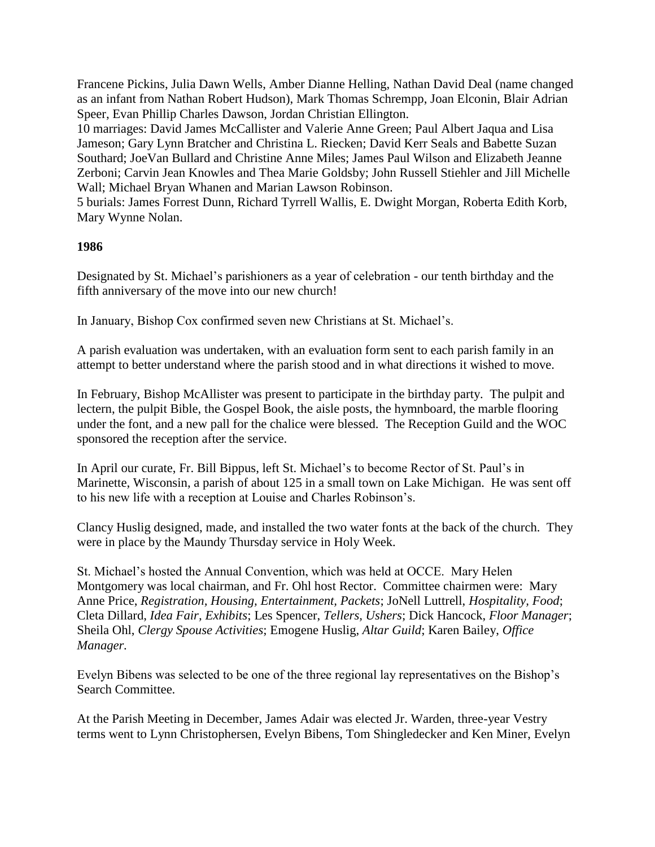Francene Pickins, Julia Dawn Wells, Amber Dianne Helling, Nathan David Deal (name changed as an infant from Nathan Robert Hudson), Mark Thomas Schrempp, Joan Elconin, Blair Adrian Speer, Evan Phillip Charles Dawson, Jordan Christian Ellington.

10 marriages: David James McCallister and Valerie Anne Green; Paul Albert Jaqua and Lisa Jameson; Gary Lynn Bratcher and Christina L. Riecken; David Kerr Seals and Babette Suzan Southard; JoeVan Bullard and Christine Anne Miles; James Paul Wilson and Elizabeth Jeanne Zerboni; Carvin Jean Knowles and Thea Marie Goldsby; John Russell Stiehler and Jill Michelle Wall; Michael Bryan Whanen and Marian Lawson Robinson.

5 burials: James Forrest Dunn, Richard Tyrrell Wallis, E. Dwight Morgan, Roberta Edith Korb, Mary Wynne Nolan.

## **1986**

Designated by St. Michael's parishioners as a year of celebration - our tenth birthday and the fifth anniversary of the move into our new church!

In January, Bishop Cox confirmed seven new Christians at St. Michael's.

A parish evaluation was undertaken, with an evaluation form sent to each parish family in an attempt to better understand where the parish stood and in what directions it wished to move.

In February, Bishop McAllister was present to participate in the birthday party. The pulpit and lectern, the pulpit Bible, the Gospel Book, the aisle posts, the hymnboard, the marble flooring under the font, and a new pall for the chalice were blessed. The Reception Guild and the WOC sponsored the reception after the service.

In April our curate, Fr. Bill Bippus, left St. Michael's to become Rector of St. Paul's in Marinette, Wisconsin, a parish of about 125 in a small town on Lake Michigan. He was sent off to his new life with a reception at Louise and Charles Robinson's.

Clancy Huslig designed, made, and installed the two water fonts at the back of the church. They were in place by the Maundy Thursday service in Holy Week.

St. Michael's hosted the Annual Convention, which was held at OCCE. Mary Helen Montgomery was local chairman, and Fr. Ohl host Rector. Committee chairmen were: Mary Anne Price, *Registration, Housing, Entertainment, Packets*; JoNell Luttrell, *Hospitality, Food*; Cleta Dillard, *Idea Fair, Exhibits*; Les Spencer, *Tellers, Ushers*; Dick Hancock, *Floor Manager*; Sheila Ohl, *Clergy Spouse Activities*; Emogene Huslig, *Altar Guild*; Karen Bailey, *Office Manager.*

Evelyn Bibens was selected to be one of the three regional lay representatives on the Bishop's Search Committee.

At the Parish Meeting in December, James Adair was elected Jr. Warden, three-year Vestry terms went to Lynn Christophersen, Evelyn Bibens, Tom Shingledecker and Ken Miner, Evelyn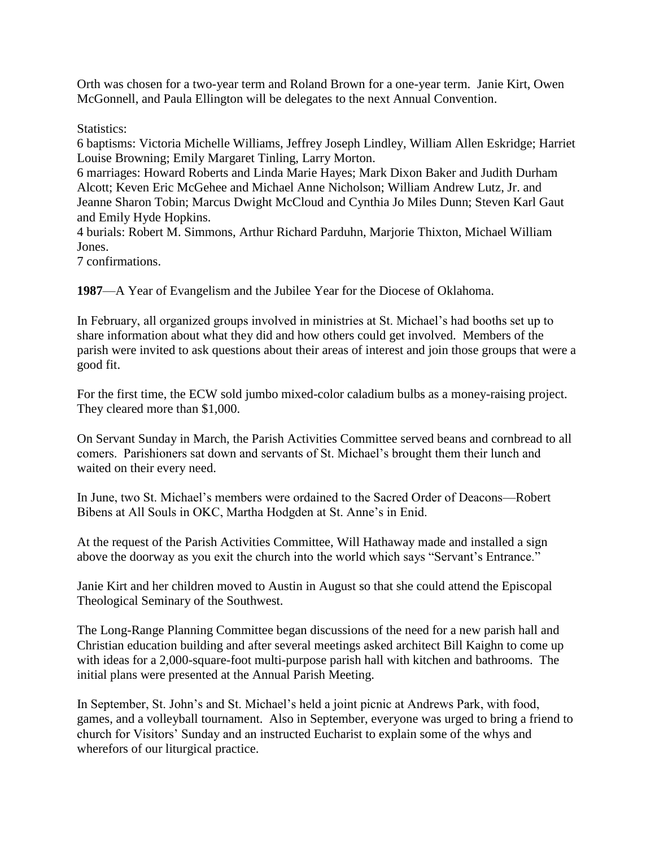Orth was chosen for a two-year term and Roland Brown for a one-year term. Janie Kirt, Owen McGonnell, and Paula Ellington will be delegates to the next Annual Convention.

Statistics:

6 baptisms: Victoria Michelle Williams, Jeffrey Joseph Lindley, William Allen Eskridge; Harriet Louise Browning; Emily Margaret Tinling, Larry Morton.

6 marriages: Howard Roberts and Linda Marie Hayes; Mark Dixon Baker and Judith Durham Alcott; Keven Eric McGehee and Michael Anne Nicholson; William Andrew Lutz, Jr. and Jeanne Sharon Tobin; Marcus Dwight McCloud and Cynthia Jo Miles Dunn; Steven Karl Gaut and Emily Hyde Hopkins.

4 burials: Robert M. Simmons, Arthur Richard Parduhn, Marjorie Thixton, Michael William Jones.

7 confirmations.

**1987**—A Year of Evangelism and the Jubilee Year for the Diocese of Oklahoma.

In February, all organized groups involved in ministries at St. Michael's had booths set up to share information about what they did and how others could get involved. Members of the parish were invited to ask questions about their areas of interest and join those groups that were a good fit.

For the first time, the ECW sold jumbo mixed-color caladium bulbs as a money-raising project. They cleared more than \$1,000.

On Servant Sunday in March, the Parish Activities Committee served beans and cornbread to all comers. Parishioners sat down and servants of St. Michael's brought them their lunch and waited on their every need.

In June, two St. Michael's members were ordained to the Sacred Order of Deacons—Robert Bibens at All Souls in OKC, Martha Hodgden at St. Anne's in Enid.

At the request of the Parish Activities Committee, Will Hathaway made and installed a sign above the doorway as you exit the church into the world which says "Servant's Entrance."

Janie Kirt and her children moved to Austin in August so that she could attend the Episcopal Theological Seminary of the Southwest.

The Long-Range Planning Committee began discussions of the need for a new parish hall and Christian education building and after several meetings asked architect Bill Kaighn to come up with ideas for a 2,000-square-foot multi-purpose parish hall with kitchen and bathrooms. The initial plans were presented at the Annual Parish Meeting.

In September, St. John's and St. Michael's held a joint picnic at Andrews Park, with food, games, and a volleyball tournament. Also in September, everyone was urged to bring a friend to church for Visitors' Sunday and an instructed Eucharist to explain some of the whys and wherefors of our liturgical practice.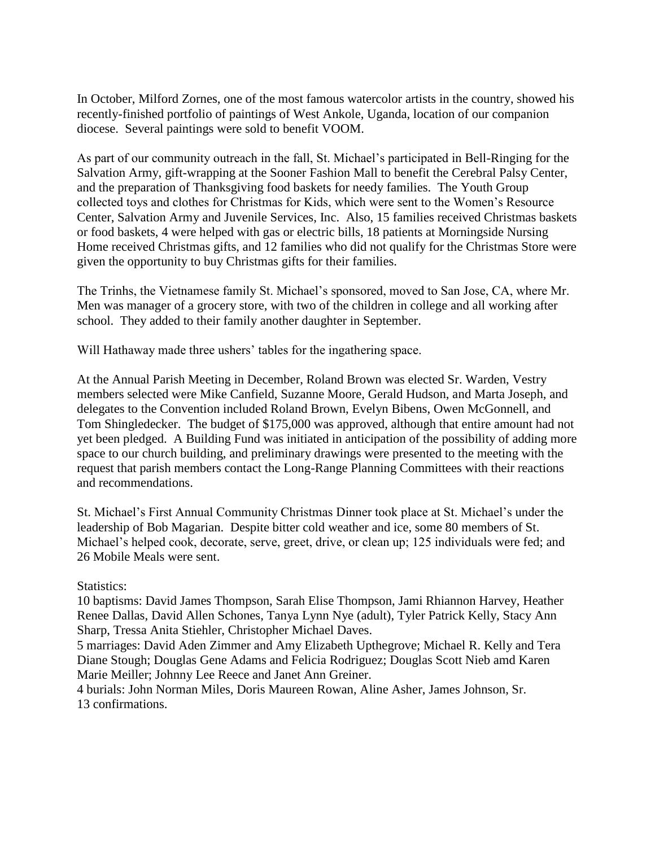In October, Milford Zornes, one of the most famous watercolor artists in the country, showed his recently-finished portfolio of paintings of West Ankole, Uganda, location of our companion diocese. Several paintings were sold to benefit VOOM.

As part of our community outreach in the fall, St. Michael's participated in Bell-Ringing for the Salvation Army, gift-wrapping at the Sooner Fashion Mall to benefit the Cerebral Palsy Center, and the preparation of Thanksgiving food baskets for needy families. The Youth Group collected toys and clothes for Christmas for Kids, which were sent to the Women's Resource Center, Salvation Army and Juvenile Services, Inc. Also, 15 families received Christmas baskets or food baskets, 4 were helped with gas or electric bills, 18 patients at Morningside Nursing Home received Christmas gifts, and 12 families who did not qualify for the Christmas Store were given the opportunity to buy Christmas gifts for their families.

The Trinhs, the Vietnamese family St. Michael's sponsored, moved to San Jose, CA, where Mr. Men was manager of a grocery store, with two of the children in college and all working after school. They added to their family another daughter in September.

Will Hathaway made three ushers' tables for the ingathering space.

At the Annual Parish Meeting in December, Roland Brown was elected Sr. Warden, Vestry members selected were Mike Canfield, Suzanne Moore, Gerald Hudson, and Marta Joseph, and delegates to the Convention included Roland Brown, Evelyn Bibens, Owen McGonnell, and Tom Shingledecker. The budget of \$175,000 was approved, although that entire amount had not yet been pledged. A Building Fund was initiated in anticipation of the possibility of adding more space to our church building, and preliminary drawings were presented to the meeting with the request that parish members contact the Long-Range Planning Committees with their reactions and recommendations.

St. Michael's First Annual Community Christmas Dinner took place at St. Michael's under the leadership of Bob Magarian. Despite bitter cold weather and ice, some 80 members of St. Michael's helped cook, decorate, serve, greet, drive, or clean up; 125 individuals were fed; and 26 Mobile Meals were sent.

#### Statistics:

10 baptisms: David James Thompson, Sarah Elise Thompson, Jami Rhiannon Harvey, Heather Renee Dallas, David Allen Schones, Tanya Lynn Nye (adult), Tyler Patrick Kelly, Stacy Ann Sharp, Tressa Anita Stiehler, Christopher Michael Daves.

5 marriages: David Aden Zimmer and Amy Elizabeth Upthegrove; Michael R. Kelly and Tera Diane Stough; Douglas Gene Adams and Felicia Rodriguez; Douglas Scott Nieb amd Karen Marie Meiller; Johnny Lee Reece and Janet Ann Greiner.

4 burials: John Norman Miles, Doris Maureen Rowan, Aline Asher, James Johnson, Sr. 13 confirmations.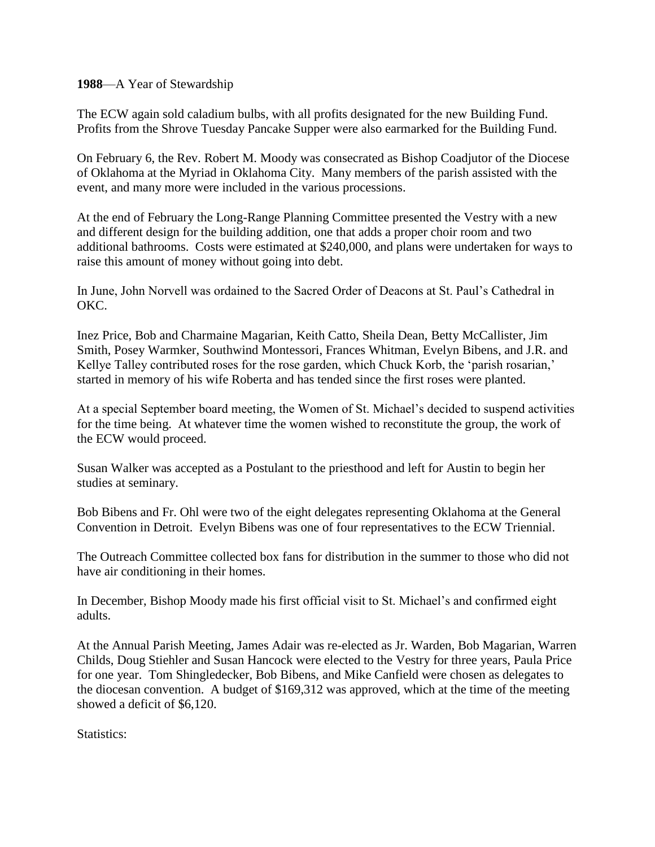**1988**—A Year of Stewardship

The ECW again sold caladium bulbs, with all profits designated for the new Building Fund. Profits from the Shrove Tuesday Pancake Supper were also earmarked for the Building Fund.

On February 6, the Rev. Robert M. Moody was consecrated as Bishop Coadjutor of the Diocese of Oklahoma at the Myriad in Oklahoma City. Many members of the parish assisted with the event, and many more were included in the various processions.

At the end of February the Long-Range Planning Committee presented the Vestry with a new and different design for the building addition, one that adds a proper choir room and two additional bathrooms. Costs were estimated at \$240,000, and plans were undertaken for ways to raise this amount of money without going into debt.

In June, John Norvell was ordained to the Sacred Order of Deacons at St. Paul's Cathedral in OKC.

Inez Price, Bob and Charmaine Magarian, Keith Catto, Sheila Dean, Betty McCallister, Jim Smith, Posey Warmker, Southwind Montessori, Frances Whitman, Evelyn Bibens, and J.R. and Kellye Talley contributed roses for the rose garden, which Chuck Korb, the 'parish rosarian,' started in memory of his wife Roberta and has tended since the first roses were planted.

At a special September board meeting, the Women of St. Michael's decided to suspend activities for the time being. At whatever time the women wished to reconstitute the group, the work of the ECW would proceed.

Susan Walker was accepted as a Postulant to the priesthood and left for Austin to begin her studies at seminary.

Bob Bibens and Fr. Ohl were two of the eight delegates representing Oklahoma at the General Convention in Detroit. Evelyn Bibens was one of four representatives to the ECW Triennial.

The Outreach Committee collected box fans for distribution in the summer to those who did not have air conditioning in their homes.

In December, Bishop Moody made his first official visit to St. Michael's and confirmed eight adults.

At the Annual Parish Meeting, James Adair was re-elected as Jr. Warden, Bob Magarian, Warren Childs, Doug Stiehler and Susan Hancock were elected to the Vestry for three years, Paula Price for one year. Tom Shingledecker, Bob Bibens, and Mike Canfield were chosen as delegates to the diocesan convention. A budget of \$169,312 was approved, which at the time of the meeting showed a deficit of \$6,120.

Statistics: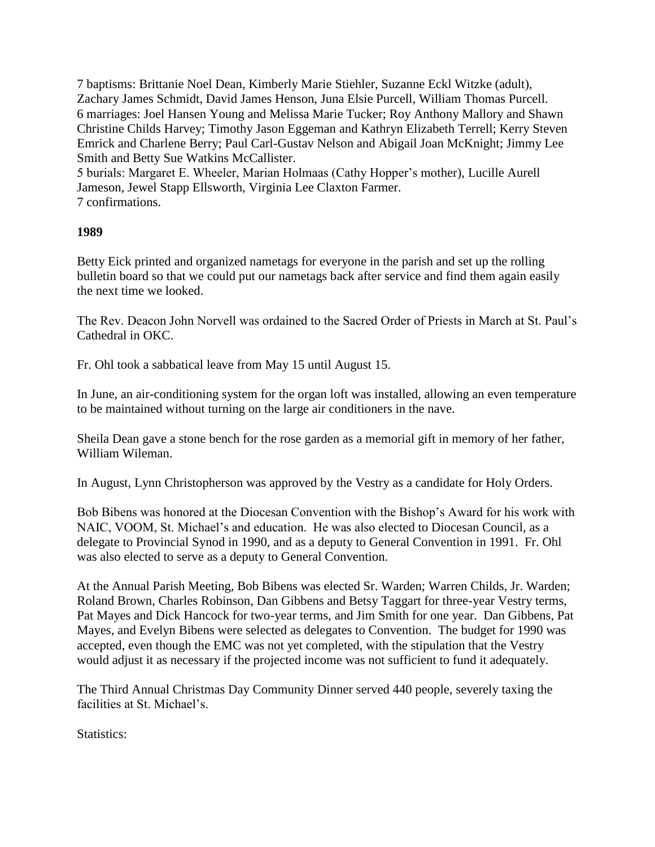7 baptisms: Brittanie Noel Dean, Kimberly Marie Stiehler, Suzanne Eckl Witzke (adult), Zachary James Schmidt, David James Henson, Juna Elsie Purcell, William Thomas Purcell. 6 marriages: Joel Hansen Young and Melissa Marie Tucker; Roy Anthony Mallory and Shawn Christine Childs Harvey; Timothy Jason Eggeman and Kathryn Elizabeth Terrell; Kerry Steven Emrick and Charlene Berry; Paul Carl-Gustav Nelson and Abigail Joan McKnight; Jimmy Lee Smith and Betty Sue Watkins McCallister.

5 burials: Margaret E. Wheeler, Marian Holmaas (Cathy Hopper's mother), Lucille Aurell Jameson, Jewel Stapp Ellsworth, Virginia Lee Claxton Farmer. 7 confirmations.

## **1989**

Betty Eick printed and organized nametags for everyone in the parish and set up the rolling bulletin board so that we could put our nametags back after service and find them again easily the next time we looked.

The Rev. Deacon John Norvell was ordained to the Sacred Order of Priests in March at St. Paul's Cathedral in OKC.

Fr. Ohl took a sabbatical leave from May 15 until August 15.

In June, an air-conditioning system for the organ loft was installed, allowing an even temperature to be maintained without turning on the large air conditioners in the nave.

Sheila Dean gave a stone bench for the rose garden as a memorial gift in memory of her father, William Wileman.

In August, Lynn Christopherson was approved by the Vestry as a candidate for Holy Orders.

Bob Bibens was honored at the Diocesan Convention with the Bishop's Award for his work with NAIC, VOOM, St. Michael's and education. He was also elected to Diocesan Council, as a delegate to Provincial Synod in 1990, and as a deputy to General Convention in 1991. Fr. Ohl was also elected to serve as a deputy to General Convention.

At the Annual Parish Meeting, Bob Bibens was elected Sr. Warden; Warren Childs, Jr. Warden; Roland Brown, Charles Robinson, Dan Gibbens and Betsy Taggart for three-year Vestry terms, Pat Mayes and Dick Hancock for two-year terms, and Jim Smith for one year. Dan Gibbens, Pat Mayes, and Evelyn Bibens were selected as delegates to Convention. The budget for 1990 was accepted, even though the EMC was not yet completed, with the stipulation that the Vestry would adjust it as necessary if the projected income was not sufficient to fund it adequately.

The Third Annual Christmas Day Community Dinner served 440 people, severely taxing the facilities at St. Michael's.

Statistics: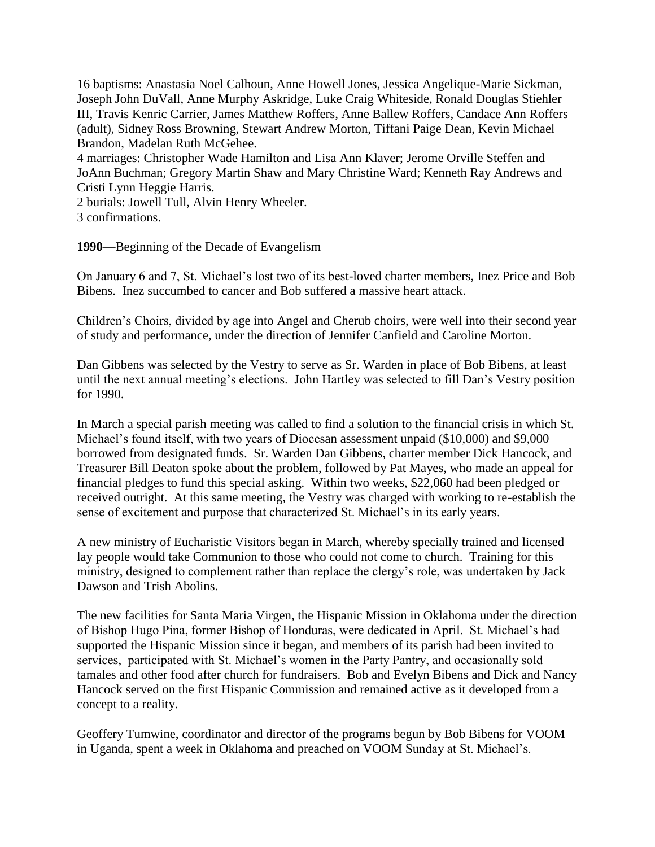16 baptisms: Anastasia Noel Calhoun, Anne Howell Jones, Jessica Angelique-Marie Sickman, Joseph John DuVall, Anne Murphy Askridge, Luke Craig Whiteside, Ronald Douglas Stiehler III, Travis Kenric Carrier, James Matthew Roffers, Anne Ballew Roffers, Candace Ann Roffers (adult), Sidney Ross Browning, Stewart Andrew Morton, Tiffani Paige Dean, Kevin Michael Brandon, Madelan Ruth McGehee.

4 marriages: Christopher Wade Hamilton and Lisa Ann Klaver; Jerome Orville Steffen and JoAnn Buchman; Gregory Martin Shaw and Mary Christine Ward; Kenneth Ray Andrews and Cristi Lynn Heggie Harris.

2 burials: Jowell Tull, Alvin Henry Wheeler. 3 confirmations.

**1990**—Beginning of the Decade of Evangelism

On January 6 and 7, St. Michael's lost two of its best-loved charter members, Inez Price and Bob Bibens. Inez succumbed to cancer and Bob suffered a massive heart attack.

Children's Choirs, divided by age into Angel and Cherub choirs, were well into their second year of study and performance, under the direction of Jennifer Canfield and Caroline Morton.

Dan Gibbens was selected by the Vestry to serve as Sr. Warden in place of Bob Bibens, at least until the next annual meeting's elections. John Hartley was selected to fill Dan's Vestry position for 1990.

In March a special parish meeting was called to find a solution to the financial crisis in which St. Michael's found itself, with two years of Diocesan assessment unpaid (\$10,000) and \$9,000 borrowed from designated funds. Sr. Warden Dan Gibbens, charter member Dick Hancock, and Treasurer Bill Deaton spoke about the problem, followed by Pat Mayes, who made an appeal for financial pledges to fund this special asking. Within two weeks, \$22,060 had been pledged or received outright. At this same meeting, the Vestry was charged with working to re-establish the sense of excitement and purpose that characterized St. Michael's in its early years.

A new ministry of Eucharistic Visitors began in March, whereby specially trained and licensed lay people would take Communion to those who could not come to church. Training for this ministry, designed to complement rather than replace the clergy's role, was undertaken by Jack Dawson and Trish Abolins.

The new facilities for Santa Maria Virgen, the Hispanic Mission in Oklahoma under the direction of Bishop Hugo Pina, former Bishop of Honduras, were dedicated in April. St. Michael's had supported the Hispanic Mission since it began, and members of its parish had been invited to services, participated with St. Michael's women in the Party Pantry, and occasionally sold tamales and other food after church for fundraisers. Bob and Evelyn Bibens and Dick and Nancy Hancock served on the first Hispanic Commission and remained active as it developed from a concept to a reality.

Geoffery Tumwine, coordinator and director of the programs begun by Bob Bibens for VOOM in Uganda, spent a week in Oklahoma and preached on VOOM Sunday at St. Michael's.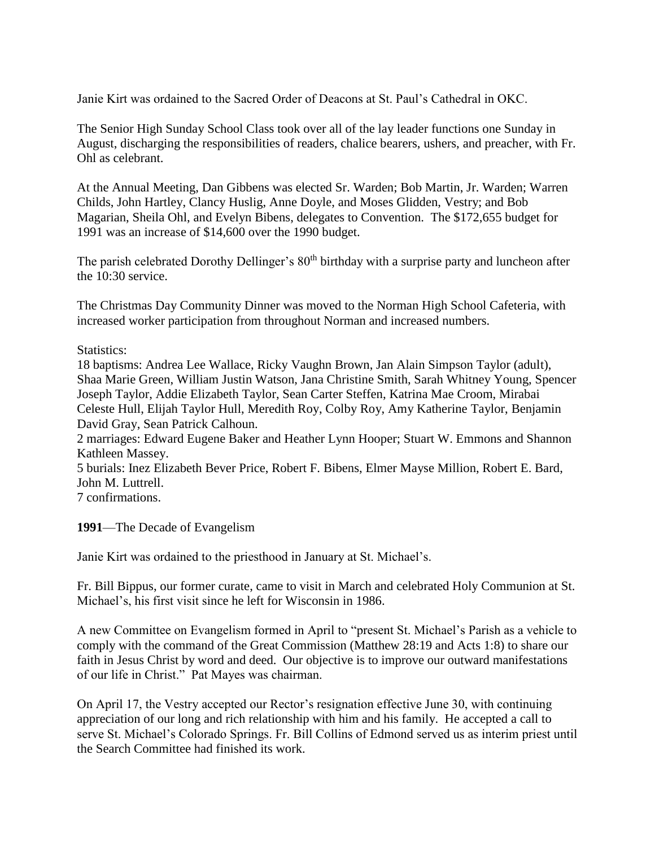Janie Kirt was ordained to the Sacred Order of Deacons at St. Paul's Cathedral in OKC.

The Senior High Sunday School Class took over all of the lay leader functions one Sunday in August, discharging the responsibilities of readers, chalice bearers, ushers, and preacher, with Fr. Ohl as celebrant.

At the Annual Meeting, Dan Gibbens was elected Sr. Warden; Bob Martin, Jr. Warden; Warren Childs, John Hartley, Clancy Huslig, Anne Doyle, and Moses Glidden, Vestry; and Bob Magarian, Sheila Ohl, and Evelyn Bibens, delegates to Convention. The \$172,655 budget for 1991 was an increase of \$14,600 over the 1990 budget.

The parish celebrated Dorothy Dellinger's 80<sup>th</sup> birthday with a surprise party and luncheon after the 10:30 service.

The Christmas Day Community Dinner was moved to the Norman High School Cafeteria, with increased worker participation from throughout Norman and increased numbers.

Statistics:

18 baptisms: Andrea Lee Wallace, Ricky Vaughn Brown, Jan Alain Simpson Taylor (adult), Shaa Marie Green, William Justin Watson, Jana Christine Smith, Sarah Whitney Young, Spencer Joseph Taylor, Addie Elizabeth Taylor, Sean Carter Steffen, Katrina Mae Croom, Mirabai Celeste Hull, Elijah Taylor Hull, Meredith Roy, Colby Roy, Amy Katherine Taylor, Benjamin David Gray, Sean Patrick Calhoun.

2 marriages: Edward Eugene Baker and Heather Lynn Hooper; Stuart W. Emmons and Shannon Kathleen Massey.

5 burials: Inez Elizabeth Bever Price, Robert F. Bibens, Elmer Mayse Million, Robert E. Bard, John M. Luttrell.

7 confirmations.

**1991**—The Decade of Evangelism

Janie Kirt was ordained to the priesthood in January at St. Michael's.

Fr. Bill Bippus, our former curate, came to visit in March and celebrated Holy Communion at St. Michael's, his first visit since he left for Wisconsin in 1986.

A new Committee on Evangelism formed in April to "present St. Michael's Parish as a vehicle to comply with the command of the Great Commission (Matthew 28:19 and Acts 1:8) to share our faith in Jesus Christ by word and deed. Our objective is to improve our outward manifestations of our life in Christ." Pat Mayes was chairman.

On April 17, the Vestry accepted our Rector's resignation effective June 30, with continuing appreciation of our long and rich relationship with him and his family. He accepted a call to serve St. Michael's Colorado Springs. Fr. Bill Collins of Edmond served us as interim priest until the Search Committee had finished its work.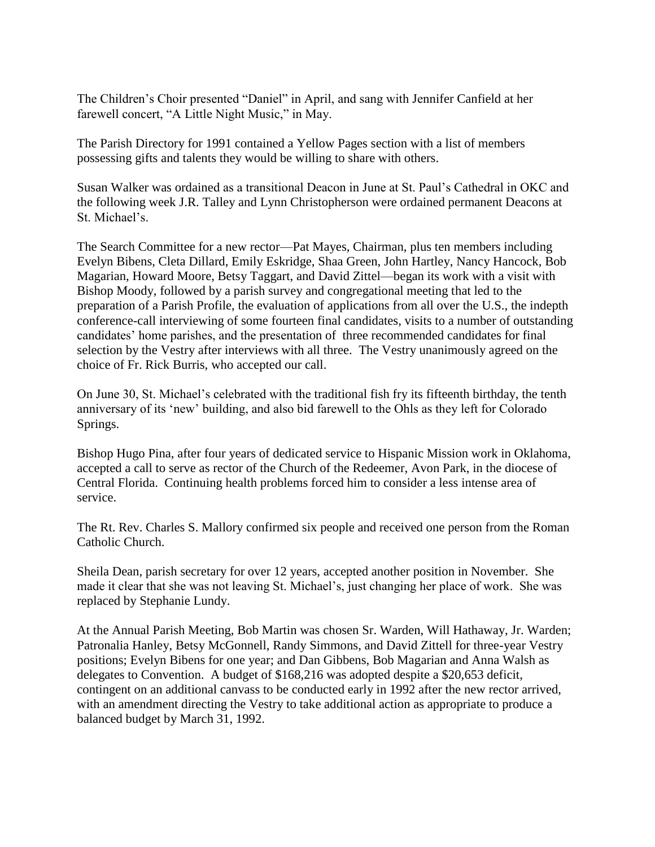The Children's Choir presented "Daniel" in April, and sang with Jennifer Canfield at her farewell concert, "A Little Night Music," in May.

The Parish Directory for 1991 contained a Yellow Pages section with a list of members possessing gifts and talents they would be willing to share with others.

Susan Walker was ordained as a transitional Deacon in June at St. Paul's Cathedral in OKC and the following week J.R. Talley and Lynn Christopherson were ordained permanent Deacons at St. Michael's.

The Search Committee for a new rector—Pat Mayes, Chairman, plus ten members including Evelyn Bibens, Cleta Dillard, Emily Eskridge, Shaa Green, John Hartley, Nancy Hancock, Bob Magarian, Howard Moore, Betsy Taggart, and David Zittel—began its work with a visit with Bishop Moody, followed by a parish survey and congregational meeting that led to the preparation of a Parish Profile, the evaluation of applications from all over the U.S., the indepth conference-call interviewing of some fourteen final candidates, visits to a number of outstanding candidates' home parishes, and the presentation of three recommended candidates for final selection by the Vestry after interviews with all three. The Vestry unanimously agreed on the choice of Fr. Rick Burris, who accepted our call.

On June 30, St. Michael's celebrated with the traditional fish fry its fifteenth birthday, the tenth anniversary of its 'new' building, and also bid farewell to the Ohls as they left for Colorado Springs.

Bishop Hugo Pina, after four years of dedicated service to Hispanic Mission work in Oklahoma, accepted a call to serve as rector of the Church of the Redeemer, Avon Park, in the diocese of Central Florida. Continuing health problems forced him to consider a less intense area of service.

The Rt. Rev. Charles S. Mallory confirmed six people and received one person from the Roman Catholic Church.

Sheila Dean, parish secretary for over 12 years, accepted another position in November. She made it clear that she was not leaving St. Michael's, just changing her place of work. She was replaced by Stephanie Lundy.

At the Annual Parish Meeting, Bob Martin was chosen Sr. Warden, Will Hathaway, Jr. Warden; Patronalia Hanley, Betsy McGonnell, Randy Simmons, and David Zittell for three-year Vestry positions; Evelyn Bibens for one year; and Dan Gibbens, Bob Magarian and Anna Walsh as delegates to Convention. A budget of \$168,216 was adopted despite a \$20,653 deficit, contingent on an additional canvass to be conducted early in 1992 after the new rector arrived, with an amendment directing the Vestry to take additional action as appropriate to produce a balanced budget by March 31, 1992.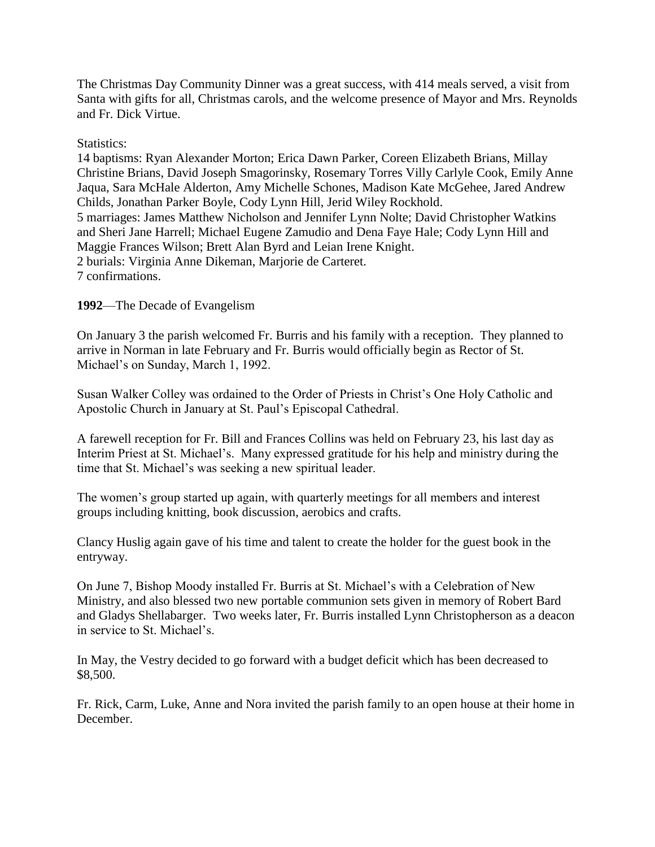The Christmas Day Community Dinner was a great success, with 414 meals served, a visit from Santa with gifts for all, Christmas carols, and the welcome presence of Mayor and Mrs. Reynolds and Fr. Dick Virtue.

#### Statistics:

14 baptisms: Ryan Alexander Morton; Erica Dawn Parker, Coreen Elizabeth Brians, Millay Christine Brians, David Joseph Smagorinsky, Rosemary Torres Villy Carlyle Cook, Emily Anne Jaqua, Sara McHale Alderton, Amy Michelle Schones, Madison Kate McGehee, Jared Andrew Childs, Jonathan Parker Boyle, Cody Lynn Hill, Jerid Wiley Rockhold. 5 marriages: James Matthew Nicholson and Jennifer Lynn Nolte; David Christopher Watkins and Sheri Jane Harrell; Michael Eugene Zamudio and Dena Faye Hale; Cody Lynn Hill and Maggie Frances Wilson; Brett Alan Byrd and Leian Irene Knight. 2 burials: Virginia Anne Dikeman, Marjorie de Carteret. 7 confirmations.

**1992**—The Decade of Evangelism

On January 3 the parish welcomed Fr. Burris and his family with a reception. They planned to arrive in Norman in late February and Fr. Burris would officially begin as Rector of St. Michael's on Sunday, March 1, 1992.

Susan Walker Colley was ordained to the Order of Priests in Christ's One Holy Catholic and Apostolic Church in January at St. Paul's Episcopal Cathedral.

A farewell reception for Fr. Bill and Frances Collins was held on February 23, his last day as Interim Priest at St. Michael's. Many expressed gratitude for his help and ministry during the time that St. Michael's was seeking a new spiritual leader.

The women's group started up again, with quarterly meetings for all members and interest groups including knitting, book discussion, aerobics and crafts.

Clancy Huslig again gave of his time and talent to create the holder for the guest book in the entryway.

On June 7, Bishop Moody installed Fr. Burris at St. Michael's with a Celebration of New Ministry, and also blessed two new portable communion sets given in memory of Robert Bard and Gladys Shellabarger. Two weeks later, Fr. Burris installed Lynn Christopherson as a deacon in service to St. Michael's.

In May, the Vestry decided to go forward with a budget deficit which has been decreased to \$8,500.

Fr. Rick, Carm, Luke, Anne and Nora invited the parish family to an open house at their home in December.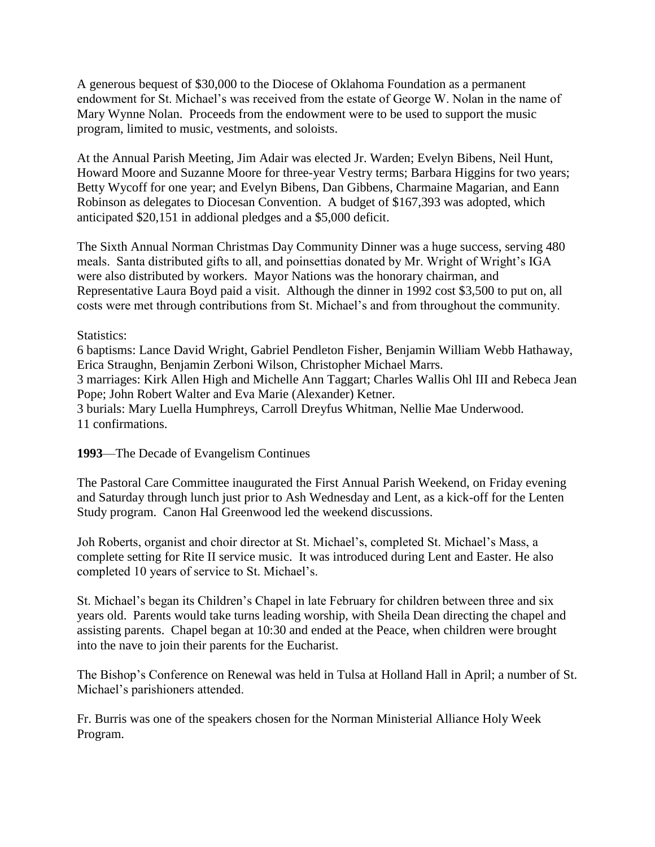A generous bequest of \$30,000 to the Diocese of Oklahoma Foundation as a permanent endowment for St. Michael's was received from the estate of George W. Nolan in the name of Mary Wynne Nolan. Proceeds from the endowment were to be used to support the music program, limited to music, vestments, and soloists.

At the Annual Parish Meeting, Jim Adair was elected Jr. Warden; Evelyn Bibens, Neil Hunt, Howard Moore and Suzanne Moore for three-year Vestry terms; Barbara Higgins for two years; Betty Wycoff for one year; and Evelyn Bibens, Dan Gibbens, Charmaine Magarian, and Eann Robinson as delegates to Diocesan Convention. A budget of \$167,393 was adopted, which anticipated \$20,151 in addional pledges and a \$5,000 deficit.

The Sixth Annual Norman Christmas Day Community Dinner was a huge success, serving 480 meals. Santa distributed gifts to all, and poinsettias donated by Mr. Wright of Wright's IGA were also distributed by workers. Mayor Nations was the honorary chairman, and Representative Laura Boyd paid a visit. Although the dinner in 1992 cost \$3,500 to put on, all costs were met through contributions from St. Michael's and from throughout the community.

Statistics:

6 baptisms: Lance David Wright, Gabriel Pendleton Fisher, Benjamin William Webb Hathaway, Erica Straughn, Benjamin Zerboni Wilson, Christopher Michael Marrs. 3 marriages: Kirk Allen High and Michelle Ann Taggart; Charles Wallis Ohl III and Rebeca Jean Pope; John Robert Walter and Eva Marie (Alexander) Ketner. 3 burials: Mary Luella Humphreys, Carroll Dreyfus Whitman, Nellie Mae Underwood. 11 confirmations.

**1993**—The Decade of Evangelism Continues

The Pastoral Care Committee inaugurated the First Annual Parish Weekend, on Friday evening and Saturday through lunch just prior to Ash Wednesday and Lent, as a kick-off for the Lenten Study program. Canon Hal Greenwood led the weekend discussions.

Joh Roberts, organist and choir director at St. Michael's, completed St. Michael's Mass, a complete setting for Rite II service music. It was introduced during Lent and Easter. He also completed 10 years of service to St. Michael's.

St. Michael's began its Children's Chapel in late February for children between three and six years old. Parents would take turns leading worship, with Sheila Dean directing the chapel and assisting parents. Chapel began at 10:30 and ended at the Peace, when children were brought into the nave to join their parents for the Eucharist.

The Bishop's Conference on Renewal was held in Tulsa at Holland Hall in April; a number of St. Michael's parishioners attended.

Fr. Burris was one of the speakers chosen for the Norman Ministerial Alliance Holy Week Program.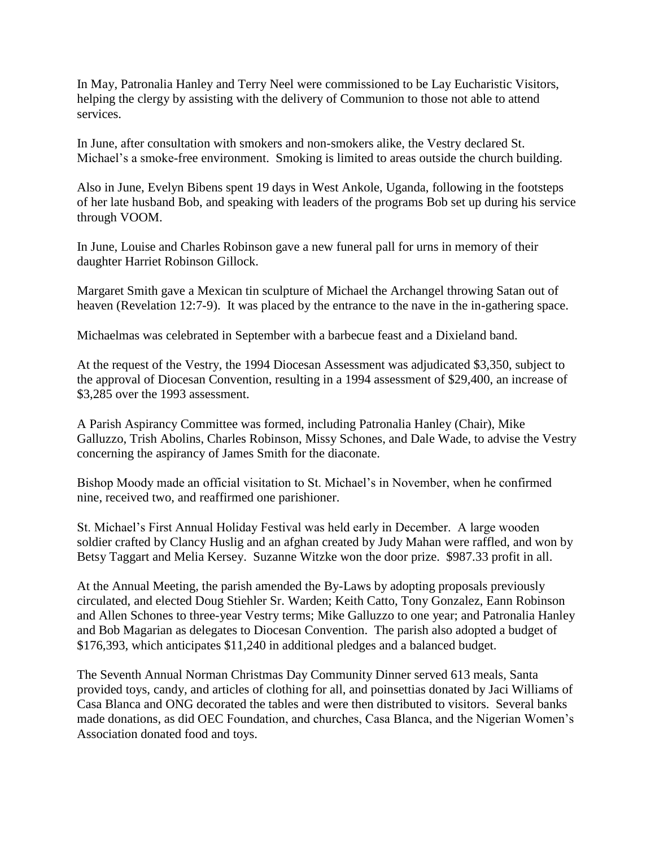In May, Patronalia Hanley and Terry Neel were commissioned to be Lay Eucharistic Visitors, helping the clergy by assisting with the delivery of Communion to those not able to attend services.

In June, after consultation with smokers and non-smokers alike, the Vestry declared St. Michael's a smoke-free environment. Smoking is limited to areas outside the church building.

Also in June, Evelyn Bibens spent 19 days in West Ankole, Uganda, following in the footsteps of her late husband Bob, and speaking with leaders of the programs Bob set up during his service through VOOM.

In June, Louise and Charles Robinson gave a new funeral pall for urns in memory of their daughter Harriet Robinson Gillock.

Margaret Smith gave a Mexican tin sculpture of Michael the Archangel throwing Satan out of heaven (Revelation 12:7-9). It was placed by the entrance to the nave in the in-gathering space.

Michaelmas was celebrated in September with a barbecue feast and a Dixieland band.

At the request of the Vestry, the 1994 Diocesan Assessment was adjudicated \$3,350, subject to the approval of Diocesan Convention, resulting in a 1994 assessment of \$29,400, an increase of \$3,285 over the 1993 assessment.

A Parish Aspirancy Committee was formed, including Patronalia Hanley (Chair), Mike Galluzzo, Trish Abolins, Charles Robinson, Missy Schones, and Dale Wade, to advise the Vestry concerning the aspirancy of James Smith for the diaconate.

Bishop Moody made an official visitation to St. Michael's in November, when he confirmed nine, received two, and reaffirmed one parishioner.

St. Michael's First Annual Holiday Festival was held early in December. A large wooden soldier crafted by Clancy Huslig and an afghan created by Judy Mahan were raffled, and won by Betsy Taggart and Melia Kersey. Suzanne Witzke won the door prize. \$987.33 profit in all.

At the Annual Meeting, the parish amended the By-Laws by adopting proposals previously circulated, and elected Doug Stiehler Sr. Warden; Keith Catto, Tony Gonzalez, Eann Robinson and Allen Schones to three-year Vestry terms; Mike Galluzzo to one year; and Patronalia Hanley and Bob Magarian as delegates to Diocesan Convention. The parish also adopted a budget of \$176,393, which anticipates \$11,240 in additional pledges and a balanced budget.

The Seventh Annual Norman Christmas Day Community Dinner served 613 meals, Santa provided toys, candy, and articles of clothing for all, and poinsettias donated by Jaci Williams of Casa Blanca and ONG decorated the tables and were then distributed to visitors. Several banks made donations, as did OEC Foundation, and churches, Casa Blanca, and the Nigerian Women's Association donated food and toys.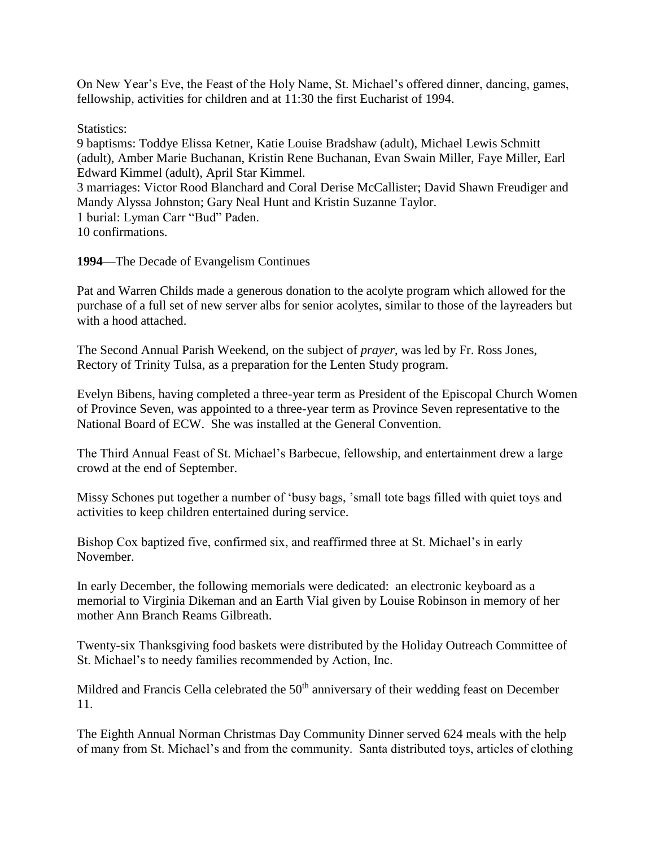On New Year's Eve, the Feast of the Holy Name, St. Michael's offered dinner, dancing, games, fellowship, activities for children and at 11:30 the first Eucharist of 1994.

Statistics:

9 baptisms: Toddye Elissa Ketner, Katie Louise Bradshaw (adult), Michael Lewis Schmitt (adult), Amber Marie Buchanan, Kristin Rene Buchanan, Evan Swain Miller, Faye Miller, Earl Edward Kimmel (adult), April Star Kimmel. 3 marriages: Victor Rood Blanchard and Coral Derise McCallister; David Shawn Freudiger and Mandy Alyssa Johnston; Gary Neal Hunt and Kristin Suzanne Taylor. 1 burial: Lyman Carr "Bud" Paden. 10 confirmations.

**1994**—The Decade of Evangelism Continues

Pat and Warren Childs made a generous donation to the acolyte program which allowed for the purchase of a full set of new server albs for senior acolytes, similar to those of the layreaders but with a hood attached.

The Second Annual Parish Weekend, on the subject of *prayer*, was led by Fr. Ross Jones, Rectory of Trinity Tulsa, as a preparation for the Lenten Study program.

Evelyn Bibens, having completed a three-year term as President of the Episcopal Church Women of Province Seven, was appointed to a three-year term as Province Seven representative to the National Board of ECW. She was installed at the General Convention.

The Third Annual Feast of St. Michael's Barbecue, fellowship, and entertainment drew a large crowd at the end of September.

Missy Schones put together a number of 'busy bags, 'small tote bags filled with quiet toys and activities to keep children entertained during service.

Bishop Cox baptized five, confirmed six, and reaffirmed three at St. Michael's in early November.

In early December, the following memorials were dedicated: an electronic keyboard as a memorial to Virginia Dikeman and an Earth Vial given by Louise Robinson in memory of her mother Ann Branch Reams Gilbreath.

Twenty-six Thanksgiving food baskets were distributed by the Holiday Outreach Committee of St. Michael's to needy families recommended by Action, Inc.

Mildred and Francis Cella celebrated the 50<sup>th</sup> anniversary of their wedding feast on December 11.

The Eighth Annual Norman Christmas Day Community Dinner served 624 meals with the help of many from St. Michael's and from the community. Santa distributed toys, articles of clothing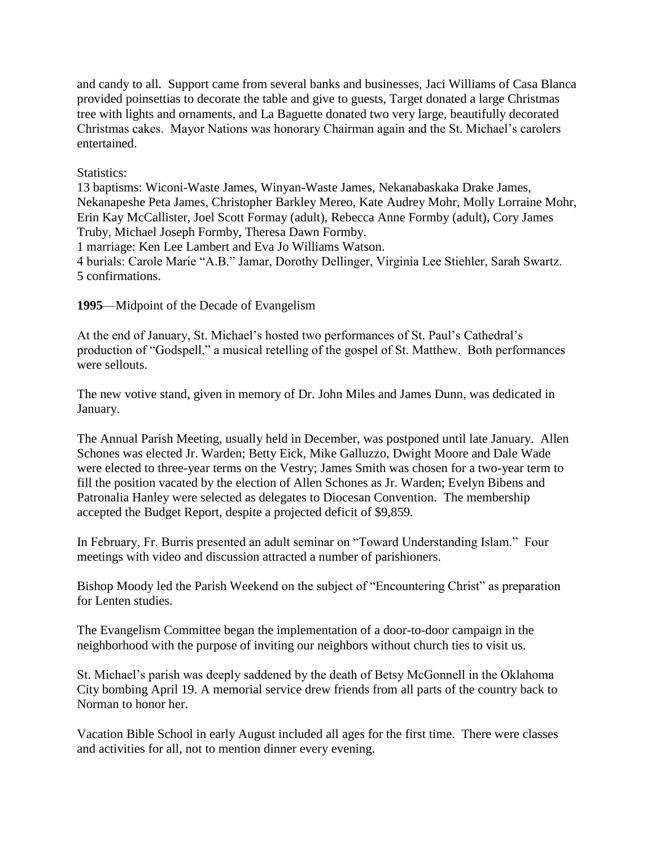and candy to all. Support came from several banks and businesses, Jaci Williams of Casa Blanca provided poinsettias to decorate the table and give to guests, Target donated a large Christmas tree with lights and ornaments, and La Baguette donated two very large, beautifully decorated Christmas cakes. Mayor Nations was honorary Chairman again and the St. Michael's carolers entertained.

## Statistics:

13 baptisms: Wiconi-Waste James, Winyan-Waste James, Nekanabaskaka Drake James, Nekanapeshe Peta James, Christopher Barkley Mereo, Kate Audrey Mohr, Molly Lorraine Mohr, Erin Kay McCallister, Joel Scott Formay (adult), Rebecca Anne Formby (adult), Cory James Truby, Michael Joseph Formby, Theresa Dawn Formby.

1 marriage: Ken Lee Lambert and Eva Jo Williams Watson.

4 burials: Carole Marie "A.B." Jamar, Dorothy Dellinger, Virginia Lee Stiehler, Sarah Swartz. 5 confirmations.

**1995**—Midpoint of the Decade of Evangelism

At the end of January, St. Michael's hosted two performances of St. Paul's Cathedral's production of "Godspell," a musical retelling of the gospel of St. Matthew. Both performances were sellouts.

The new votive stand, given in memory of Dr. John Miles and James Dunn, was dedicated in January.

The Annual Parish Meeting, usually held in December, was postponed until late January. Allen Schones was elected Jr. Warden; Betty Eick, Mike Galluzzo, Dwight Moore and Dale Wade were elected to three-year terms on the Vestry; James Smith was chosen for a two-year term to fill the position vacated by the election of Allen Schones as Jr. Warden; Evelyn Bibens and Patronalia Hanley were selected as delegates to Diocesan Convention. The membership accepted the Budget Report, despite a projected deficit of \$9,859.

In February, Fr. Burris presented an adult seminar on "Toward Understanding Islam." Four meetings with video and discussion attracted a number of parishioners.

Bishop Moody led the Parish Weekend on the subject of "Encountering Christ" as preparation for Lenten studies.

The Evangelism Committee began the implementation of a door-to-door campaign in the neighborhood with the purpose of inviting our neighbors without church ties to visit us.

St. Michael's parish was deeply saddened by the death of Betsy McGonnell in the Oklahoma City bombing April 19. A memorial service drew friends from all parts of the country back to Norman to honor her.

Vacation Bible School in early August included all ages for the first time. There were classes and activities for all, not to mention dinner every evening.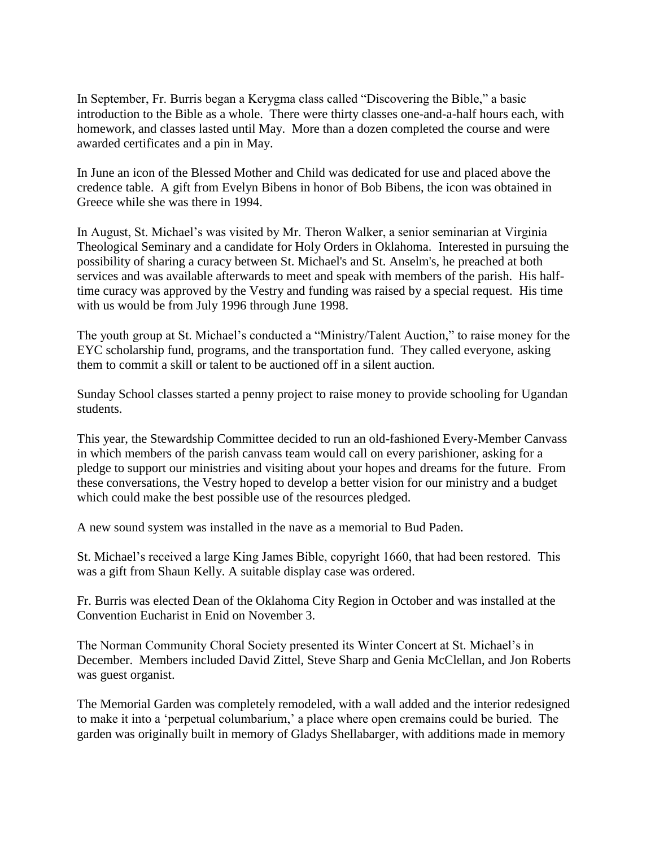In September, Fr. Burris began a Kerygma class called "Discovering the Bible," a basic introduction to the Bible as a whole. There were thirty classes one-and-a-half hours each, with homework, and classes lasted until May. More than a dozen completed the course and were awarded certificates and a pin in May.

In June an icon of the Blessed Mother and Child was dedicated for use and placed above the credence table. A gift from Evelyn Bibens in honor of Bob Bibens, the icon was obtained in Greece while she was there in 1994.

In August, St. Michael's was visited by Mr. Theron Walker, a senior seminarian at Virginia Theological Seminary and a candidate for Holy Orders in Oklahoma. Interested in pursuing the possibility of sharing a curacy between St. Michael's and St. Anselm's, he preached at both services and was available afterwards to meet and speak with members of the parish. His halftime curacy was approved by the Vestry and funding was raised by a special request. His time with us would be from July 1996 through June 1998.

The youth group at St. Michael's conducted a "Ministry/Talent Auction," to raise money for the EYC scholarship fund, programs, and the transportation fund. They called everyone, asking them to commit a skill or talent to be auctioned off in a silent auction.

Sunday School classes started a penny project to raise money to provide schooling for Ugandan students.

This year, the Stewardship Committee decided to run an old-fashioned Every-Member Canvass in which members of the parish canvass team would call on every parishioner, asking for a pledge to support our ministries and visiting about your hopes and dreams for the future. From these conversations, the Vestry hoped to develop a better vision for our ministry and a budget which could make the best possible use of the resources pledged.

A new sound system was installed in the nave as a memorial to Bud Paden.

St. Michael's received a large King James Bible, copyright 1660, that had been restored. This was a gift from Shaun Kelly. A suitable display case was ordered.

Fr. Burris was elected Dean of the Oklahoma City Region in October and was installed at the Convention Eucharist in Enid on November 3.

The Norman Community Choral Society presented its Winter Concert at St. Michael's in December. Members included David Zittel, Steve Sharp and Genia McClellan, and Jon Roberts was guest organist.

The Memorial Garden was completely remodeled, with a wall added and the interior redesigned to make it into a 'perpetual columbarium,' a place where open cremains could be buried. The garden was originally built in memory of Gladys Shellabarger, with additions made in memory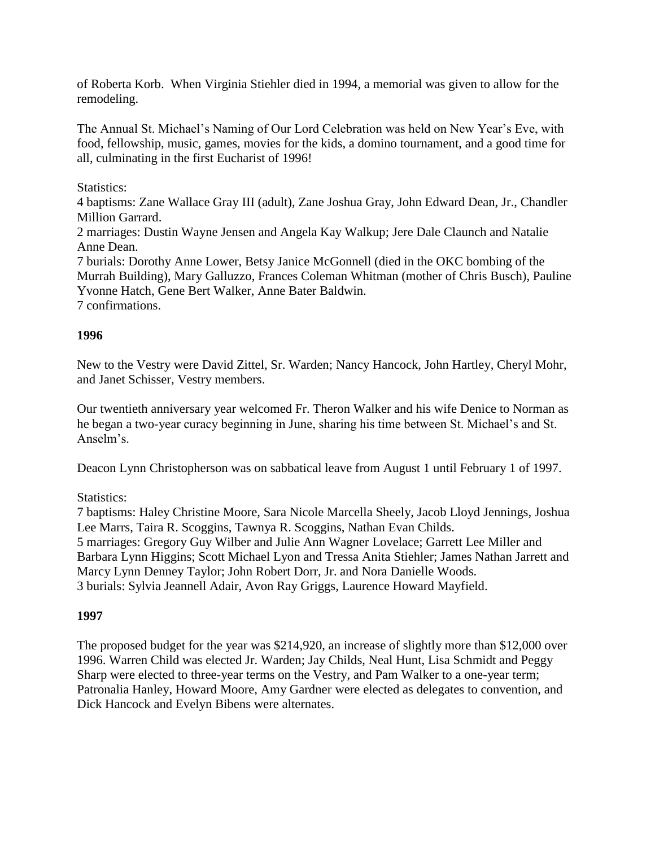of Roberta Korb. When Virginia Stiehler died in 1994, a memorial was given to allow for the remodeling.

The Annual St. Michael's Naming of Our Lord Celebration was held on New Year's Eve, with food, fellowship, music, games, movies for the kids, a domino tournament, and a good time for all, culminating in the first Eucharist of 1996!

## Statistics:

4 baptisms: Zane Wallace Gray III (adult), Zane Joshua Gray, John Edward Dean, Jr., Chandler Million Garrard.

2 marriages: Dustin Wayne Jensen and Angela Kay Walkup; Jere Dale Claunch and Natalie Anne Dean.

7 burials: Dorothy Anne Lower, Betsy Janice McGonnell (died in the OKC bombing of the Murrah Building), Mary Galluzzo, Frances Coleman Whitman (mother of Chris Busch), Pauline Yvonne Hatch, Gene Bert Walker, Anne Bater Baldwin.

7 confirmations.

#### **1996**

New to the Vestry were David Zittel, Sr. Warden; Nancy Hancock, John Hartley, Cheryl Mohr, and Janet Schisser, Vestry members.

Our twentieth anniversary year welcomed Fr. Theron Walker and his wife Denice to Norman as he began a two-year curacy beginning in June, sharing his time between St. Michael's and St. Anselm's.

Deacon Lynn Christopherson was on sabbatical leave from August 1 until February 1 of 1997.

#### Statistics:

7 baptisms: Haley Christine Moore, Sara Nicole Marcella Sheely, Jacob Lloyd Jennings, Joshua Lee Marrs, Taira R. Scoggins, Tawnya R. Scoggins, Nathan Evan Childs. 5 marriages: Gregory Guy Wilber and Julie Ann Wagner Lovelace; Garrett Lee Miller and Barbara Lynn Higgins; Scott Michael Lyon and Tressa Anita Stiehler; James Nathan Jarrett and Marcy Lynn Denney Taylor; John Robert Dorr, Jr. and Nora Danielle Woods. 3 burials: Sylvia Jeannell Adair, Avon Ray Griggs, Laurence Howard Mayfield.

#### **1997**

The proposed budget for the year was \$214,920, an increase of slightly more than \$12,000 over 1996. Warren Child was elected Jr. Warden; Jay Childs, Neal Hunt, Lisa Schmidt and Peggy Sharp were elected to three-year terms on the Vestry, and Pam Walker to a one-year term; Patronalia Hanley, Howard Moore, Amy Gardner were elected as delegates to convention, and Dick Hancock and Evelyn Bibens were alternates.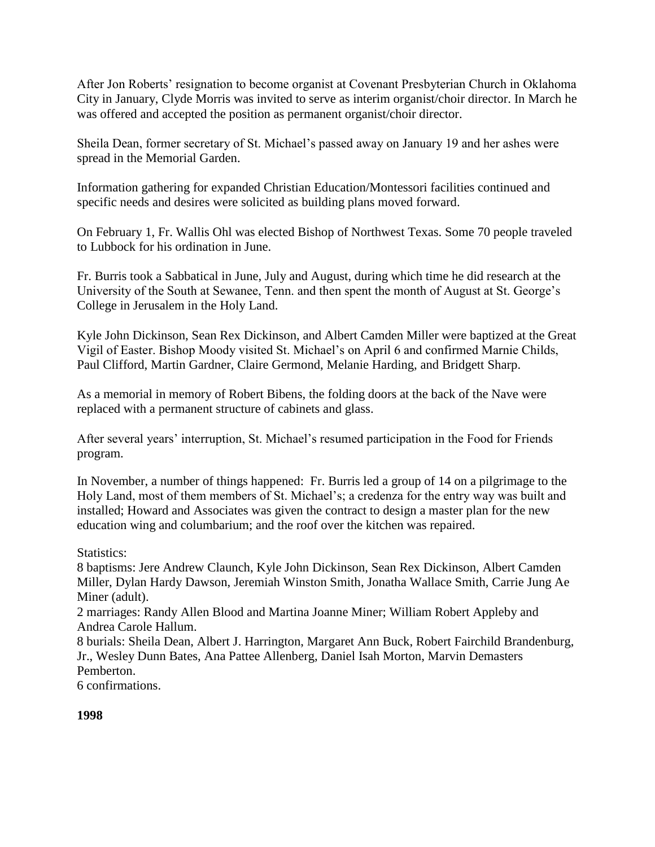After Jon Roberts' resignation to become organist at Covenant Presbyterian Church in Oklahoma City in January, Clyde Morris was invited to serve as interim organist/choir director. In March he was offered and accepted the position as permanent organist/choir director.

Sheila Dean, former secretary of St. Michael's passed away on January 19 and her ashes were spread in the Memorial Garden.

Information gathering for expanded Christian Education/Montessori facilities continued and specific needs and desires were solicited as building plans moved forward.

On February 1, Fr. Wallis Ohl was elected Bishop of Northwest Texas. Some 70 people traveled to Lubbock for his ordination in June.

Fr. Burris took a Sabbatical in June, July and August, during which time he did research at the University of the South at Sewanee, Tenn. and then spent the month of August at St. George's College in Jerusalem in the Holy Land.

Kyle John Dickinson, Sean Rex Dickinson, and Albert Camden Miller were baptized at the Great Vigil of Easter. Bishop Moody visited St. Michael's on April 6 and confirmed Marnie Childs, Paul Clifford, Martin Gardner, Claire Germond, Melanie Harding, and Bridgett Sharp.

As a memorial in memory of Robert Bibens, the folding doors at the back of the Nave were replaced with a permanent structure of cabinets and glass.

After several years' interruption, St. Michael's resumed participation in the Food for Friends program.

In November, a number of things happened: Fr. Burris led a group of 14 on a pilgrimage to the Holy Land, most of them members of St. Michael's; a credenza for the entry way was built and installed; Howard and Associates was given the contract to design a master plan for the new education wing and columbarium; and the roof over the kitchen was repaired.

Statistics:

8 baptisms: Jere Andrew Claunch, Kyle John Dickinson, Sean Rex Dickinson, Albert Camden Miller, Dylan Hardy Dawson, Jeremiah Winston Smith, Jonatha Wallace Smith, Carrie Jung Ae Miner (adult).

2 marriages: Randy Allen Blood and Martina Joanne Miner; William Robert Appleby and Andrea Carole Hallum.

8 burials: Sheila Dean, Albert J. Harrington, Margaret Ann Buck, Robert Fairchild Brandenburg, Jr., Wesley Dunn Bates, Ana Pattee Allenberg, Daniel Isah Morton, Marvin Demasters Pemberton.

6 confirmations.

# **1998**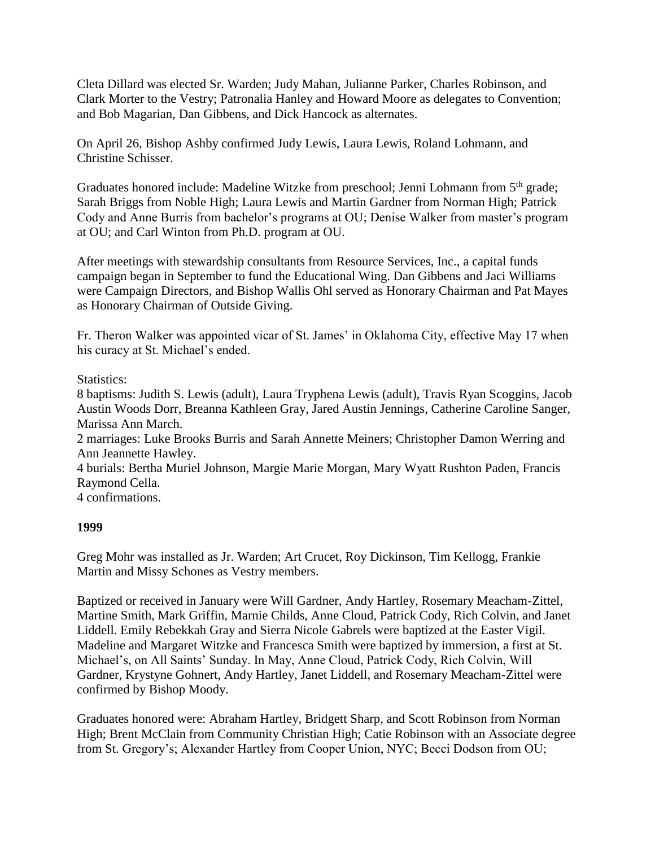Cleta Dillard was elected Sr. Warden; Judy Mahan, Julianne Parker, Charles Robinson, and Clark Morter to the Vestry; Patronalia Hanley and Howard Moore as delegates to Convention; and Bob Magarian, Dan Gibbens, and Dick Hancock as alternates.

On April 26, Bishop Ashby confirmed Judy Lewis, Laura Lewis, Roland Lohmann, and Christine Schisser.

Graduates honored include: Madeline Witzke from preschool; Jenni Lohmann from 5<sup>th</sup> grade; Sarah Briggs from Noble High; Laura Lewis and Martin Gardner from Norman High; Patrick Cody and Anne Burris from bachelor's programs at OU; Denise Walker from master's program at OU; and Carl Winton from Ph.D. program at OU.

After meetings with stewardship consultants from Resource Services, Inc., a capital funds campaign began in September to fund the Educational Wing. Dan Gibbens and Jaci Williams were Campaign Directors, and Bishop Wallis Ohl served as Honorary Chairman and Pat Mayes as Honorary Chairman of Outside Giving.

Fr. Theron Walker was appointed vicar of St. James' in Oklahoma City, effective May 17 when his curacy at St. Michael's ended.

Statistics:

8 baptisms: Judith S. Lewis (adult), Laura Tryphena Lewis (adult), Travis Ryan Scoggins, Jacob Austin Woods Dorr, Breanna Kathleen Gray, Jared Austin Jennings, Catherine Caroline Sanger, Marissa Ann March.

2 marriages: Luke Brooks Burris and Sarah Annette Meiners; Christopher Damon Werring and Ann Jeannette Hawley.

4 burials: Bertha Muriel Johnson, Margie Marie Morgan, Mary Wyatt Rushton Paden, Francis Raymond Cella.

4 confirmations.

## **1999**

Greg Mohr was installed as Jr. Warden; Art Crucet, Roy Dickinson, Tim Kellogg, Frankie Martin and Missy Schones as Vestry members.

Baptized or received in January were Will Gardner, Andy Hartley, Rosemary Meacham-Zittel, Martine Smith, Mark Griffin, Marnie Childs, Anne Cloud, Patrick Cody, Rich Colvin, and Janet Liddell. Emily Rebekkah Gray and Sierra Nicole Gabrels were baptized at the Easter Vigil. Madeline and Margaret Witzke and Francesca Smith were baptized by immersion, a first at St. Michael's, on All Saints' Sunday. In May, Anne Cloud, Patrick Cody, Rich Colvin, Will Gardner, Krystyne Gohnert, Andy Hartley, Janet Liddell, and Rosemary Meacham-Zittel were confirmed by Bishop Moody.

Graduates honored were: Abraham Hartley, Bridgett Sharp, and Scott Robinson from Norman High; Brent McClain from Community Christian High; Catie Robinson with an Associate degree from St. Gregory's; Alexander Hartley from Cooper Union, NYC; Becci Dodson from OU;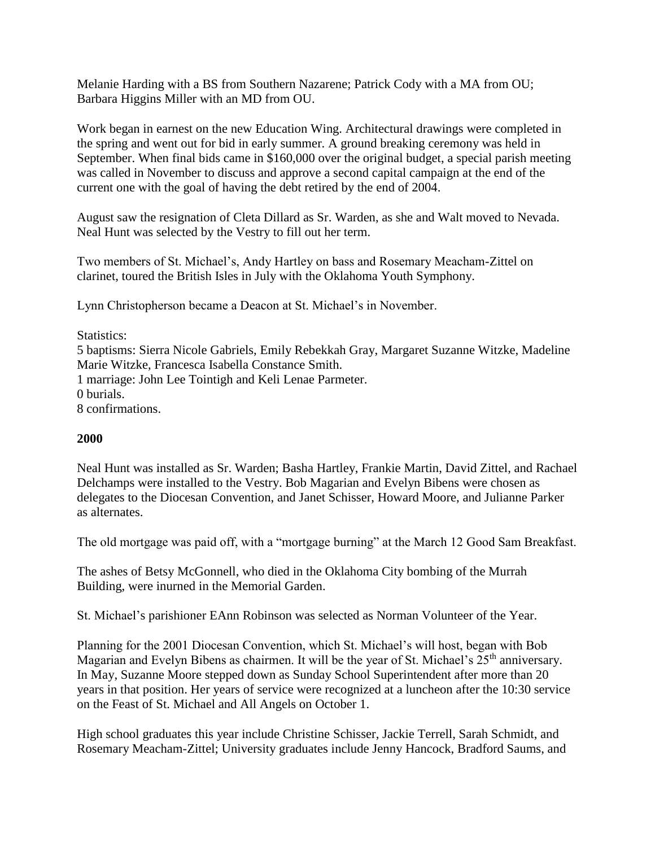Melanie Harding with a BS from Southern Nazarene; Patrick Cody with a MA from OU; Barbara Higgins Miller with an MD from OU.

Work began in earnest on the new Education Wing. Architectural drawings were completed in the spring and went out for bid in early summer. A ground breaking ceremony was held in September. When final bids came in \$160,000 over the original budget, a special parish meeting was called in November to discuss and approve a second capital campaign at the end of the current one with the goal of having the debt retired by the end of 2004.

August saw the resignation of Cleta Dillard as Sr. Warden, as she and Walt moved to Nevada. Neal Hunt was selected by the Vestry to fill out her term.

Two members of St. Michael's, Andy Hartley on bass and Rosemary Meacham-Zittel on clarinet, toured the British Isles in July with the Oklahoma Youth Symphony.

Lynn Christopherson became a Deacon at St. Michael's in November.

Statistics: 5 baptisms: Sierra Nicole Gabriels, Emily Rebekkah Gray, Margaret Suzanne Witzke, Madeline Marie Witzke, Francesca Isabella Constance Smith. 1 marriage: John Lee Tointigh and Keli Lenae Parmeter. 0 burials. 8 confirmations.

#### **2000**

Neal Hunt was installed as Sr. Warden; Basha Hartley, Frankie Martin, David Zittel, and Rachael Delchamps were installed to the Vestry. Bob Magarian and Evelyn Bibens were chosen as delegates to the Diocesan Convention, and Janet Schisser, Howard Moore, and Julianne Parker as alternates.

The old mortgage was paid off, with a "mortgage burning" at the March 12 Good Sam Breakfast.

The ashes of Betsy McGonnell, who died in the Oklahoma City bombing of the Murrah Building, were inurned in the Memorial Garden.

St. Michael's parishioner EAnn Robinson was selected as Norman Volunteer of the Year.

Planning for the 2001 Diocesan Convention, which St. Michael's will host, began with Bob Magarian and Evelyn Bibens as chairmen. It will be the year of St. Michael's 25<sup>th</sup> anniversary. In May, Suzanne Moore stepped down as Sunday School Superintendent after more than 20 years in that position. Her years of service were recognized at a luncheon after the 10:30 service on the Feast of St. Michael and All Angels on October 1.

High school graduates this year include Christine Schisser, Jackie Terrell, Sarah Schmidt, and Rosemary Meacham-Zittel; University graduates include Jenny Hancock, Bradford Saums, and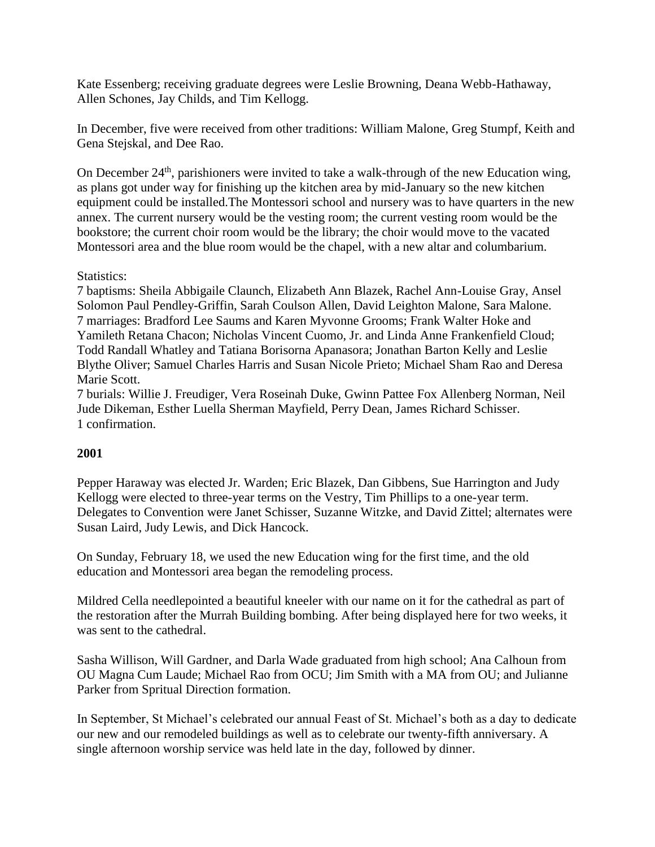Kate Essenberg; receiving graduate degrees were Leslie Browning, Deana Webb-Hathaway, Allen Schones, Jay Childs, and Tim Kellogg.

In December, five were received from other traditions: William Malone, Greg Stumpf, Keith and Gena Stejskal, and Dee Rao.

On December  $24<sup>th</sup>$ , parishioners were invited to take a walk-through of the new Education wing, as plans got under way for finishing up the kitchen area by mid-January so the new kitchen equipment could be installed.The Montessori school and nursery was to have quarters in the new annex. The current nursery would be the vesting room; the current vesting room would be the bookstore; the current choir room would be the library; the choir would move to the vacated Montessori area and the blue room would be the chapel, with a new altar and columbarium.

#### Statistics:

7 baptisms: Sheila Abbigaile Claunch, Elizabeth Ann Blazek, Rachel Ann-Louise Gray, Ansel Solomon Paul Pendley-Griffin, Sarah Coulson Allen, David Leighton Malone, Sara Malone. 7 marriages: Bradford Lee Saums and Karen Myvonne Grooms; Frank Walter Hoke and Yamileth Retana Chacon; Nicholas Vincent Cuomo, Jr. and Linda Anne Frankenfield Cloud; Todd Randall Whatley and Tatiana Borisorna Apanasora; Jonathan Barton Kelly and Leslie Blythe Oliver; Samuel Charles Harris and Susan Nicole Prieto; Michael Sham Rao and Deresa Marie Scott.

7 burials: Willie J. Freudiger, Vera Roseinah Duke, Gwinn Pattee Fox Allenberg Norman, Neil Jude Dikeman, Esther Luella Sherman Mayfield, Perry Dean, James Richard Schisser. 1 confirmation.

## **2001**

Pepper Haraway was elected Jr. Warden; Eric Blazek, Dan Gibbens, Sue Harrington and Judy Kellogg were elected to three-year terms on the Vestry, Tim Phillips to a one-year term. Delegates to Convention were Janet Schisser, Suzanne Witzke, and David Zittel; alternates were Susan Laird, Judy Lewis, and Dick Hancock.

On Sunday, February 18, we used the new Education wing for the first time, and the old education and Montessori area began the remodeling process.

Mildred Cella needlepointed a beautiful kneeler with our name on it for the cathedral as part of the restoration after the Murrah Building bombing. After being displayed here for two weeks, it was sent to the cathedral.

Sasha Willison, Will Gardner, and Darla Wade graduated from high school; Ana Calhoun from OU Magna Cum Laude; Michael Rao from OCU; Jim Smith with a MA from OU; and Julianne Parker from Spritual Direction formation.

In September, St Michael's celebrated our annual Feast of St. Michael's both as a day to dedicate our new and our remodeled buildings as well as to celebrate our twenty-fifth anniversary. A single afternoon worship service was held late in the day, followed by dinner.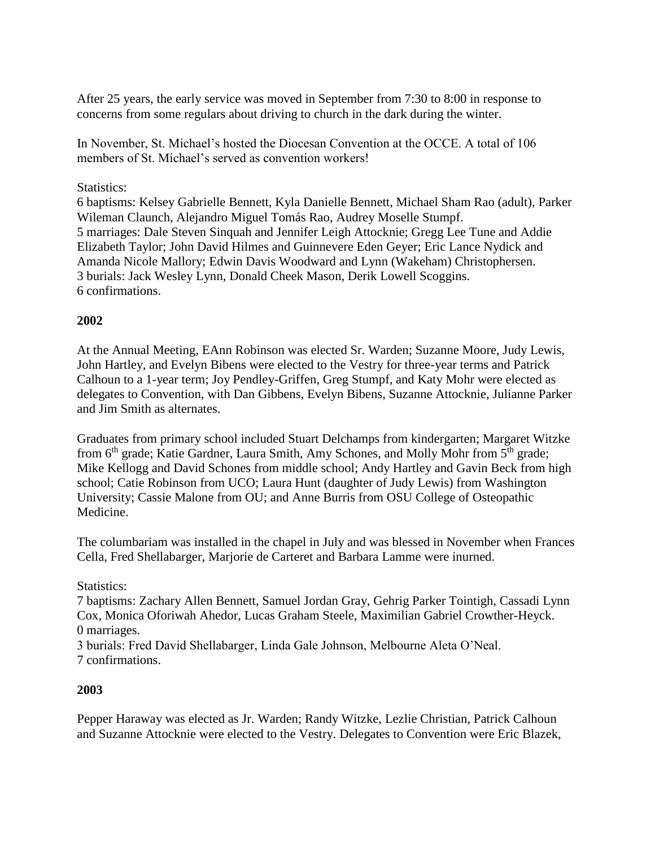After 25 years, the early service was moved in September from 7:30 to 8:00 in response to concerns from some regulars about driving to church in the dark during the winter.

In November, St. Michael's hosted the Diocesan Convention at the OCCE. A total of 106 members of St. Michael's served as convention workers!

## Statistics:

6 baptisms: Kelsey Gabrielle Bennett, Kyla Danielle Bennett, Michael Sham Rao (adult), Parker Wileman Claunch, Alejandro Miguel Tomás Rao, Audrey Moselle Stumpf. 5 marriages: Dale Steven Sinquah and Jennifer Leigh Attocknie; Gregg Lee Tune and Addie Elizabeth Taylor; John David Hilmes and Guinnevere Eden Geyer; Eric Lance Nydick and Amanda Nicole Mallory; Edwin Davis Woodward and Lynn (Wakeham) Christophersen. 3 burials: Jack Wesley Lynn, Donald Cheek Mason, Derik Lowell Scoggins. 6 confirmations.

## **2002**

At the Annual Meeting, EAnn Robinson was elected Sr. Warden; Suzanne Moore, Judy Lewis, John Hartley, and Evelyn Bibens were elected to the Vestry for three-year terms and Patrick Calhoun to a 1-year term; Joy Pendley-Griffen, Greg Stumpf, and Katy Mohr were elected as delegates to Convention, with Dan Gibbens, Evelyn Bibens, Suzanne Attocknie, Julianne Parker and Jim Smith as alternates.

Graduates from primary school included Stuart Delchamps from kindergarten; Margaret Witzke from 6<sup>th</sup> grade; Katie Gardner, Laura Smith, Amy Schones, and Molly Mohr from 5<sup>th</sup> grade; Mike Kellogg and David Schones from middle school; Andy Hartley and Gavin Beck from high school; Catie Robinson from UCO; Laura Hunt (daughter of Judy Lewis) from Washington University; Cassie Malone from OU; and Anne Burris from OSU College of Osteopathic Medicine.

The columbariam was installed in the chapel in July and was blessed in November when Frances Cella, Fred Shellabarger, Marjorie de Carteret and Barbara Lamme were inurned.

## Statistics:

7 baptisms: Zachary Allen Bennett, Samuel Jordan Gray, Gehrig Parker Tointigh, Cassadi Lynn Cox, Monica Oforiwah Ahedor, Lucas Graham Steele, Maximilian Gabriel Crowther-Heyck. 0 marriages.

3 burials: Fred David Shellabarger, Linda Gale Johnson, Melbourne Aleta O'Neal. 7 confirmations.

## **2003**

Pepper Haraway was elected as Jr. Warden; Randy Witzke, Lezlie Christian, Patrick Calhoun and Suzanne Attocknie were elected to the Vestry. Delegates to Convention were Eric Blazek,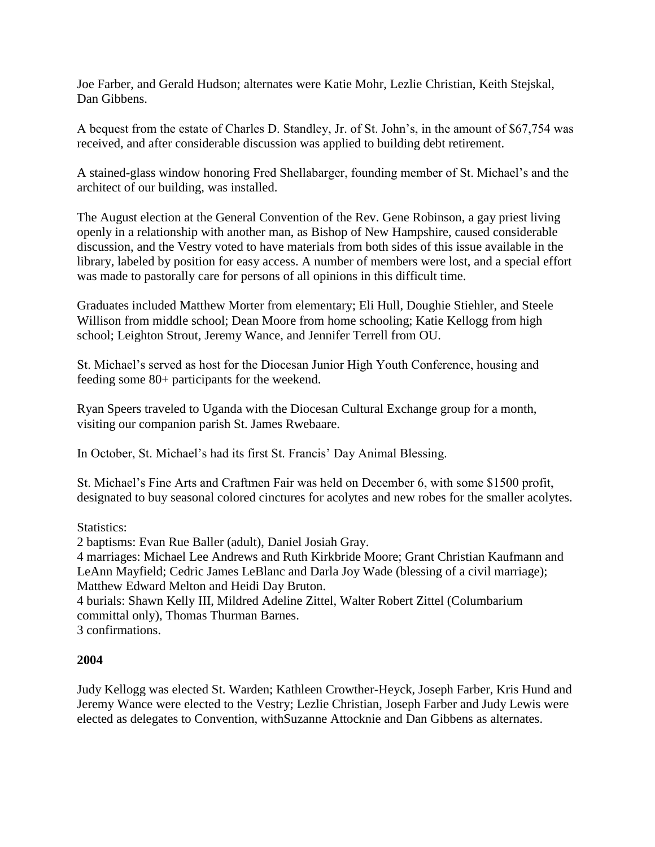Joe Farber, and Gerald Hudson; alternates were Katie Mohr, Lezlie Christian, Keith Stejskal, Dan Gibbens.

A bequest from the estate of Charles D. Standley, Jr. of St. John's, in the amount of \$67,754 was received, and after considerable discussion was applied to building debt retirement.

A stained-glass window honoring Fred Shellabarger, founding member of St. Michael's and the architect of our building, was installed.

The August election at the General Convention of the Rev. Gene Robinson, a gay priest living openly in a relationship with another man, as Bishop of New Hampshire, caused considerable discussion, and the Vestry voted to have materials from both sides of this issue available in the library, labeled by position for easy access. A number of members were lost, and a special effort was made to pastorally care for persons of all opinions in this difficult time.

Graduates included Matthew Morter from elementary; Eli Hull, Doughie Stiehler, and Steele Willison from middle school; Dean Moore from home schooling; Katie Kellogg from high school; Leighton Strout, Jeremy Wance, and Jennifer Terrell from OU.

St. Michael's served as host for the Diocesan Junior High Youth Conference, housing and feeding some 80+ participants for the weekend.

Ryan Speers traveled to Uganda with the Diocesan Cultural Exchange group for a month, visiting our companion parish St. James Rwebaare.

In October, St. Michael's had its first St. Francis' Day Animal Blessing.

St. Michael's Fine Arts and Craftmen Fair was held on December 6, with some \$1500 profit, designated to buy seasonal colored cinctures for acolytes and new robes for the smaller acolytes.

Statistics:

2 baptisms: Evan Rue Baller (adult), Daniel Josiah Gray.

4 marriages: Michael Lee Andrews and Ruth Kirkbride Moore; Grant Christian Kaufmann and LeAnn Mayfield; Cedric James LeBlanc and Darla Joy Wade (blessing of a civil marriage); Matthew Edward Melton and Heidi Day Bruton.

4 burials: Shawn Kelly III, Mildred Adeline Zittel, Walter Robert Zittel (Columbarium committal only), Thomas Thurman Barnes.

3 confirmations.

## **2004**

Judy Kellogg was elected St. Warden; Kathleen Crowther-Heyck, Joseph Farber, Kris Hund and Jeremy Wance were elected to the Vestry; Lezlie Christian, Joseph Farber and Judy Lewis were elected as delegates to Convention, withSuzanne Attocknie and Dan Gibbens as alternates.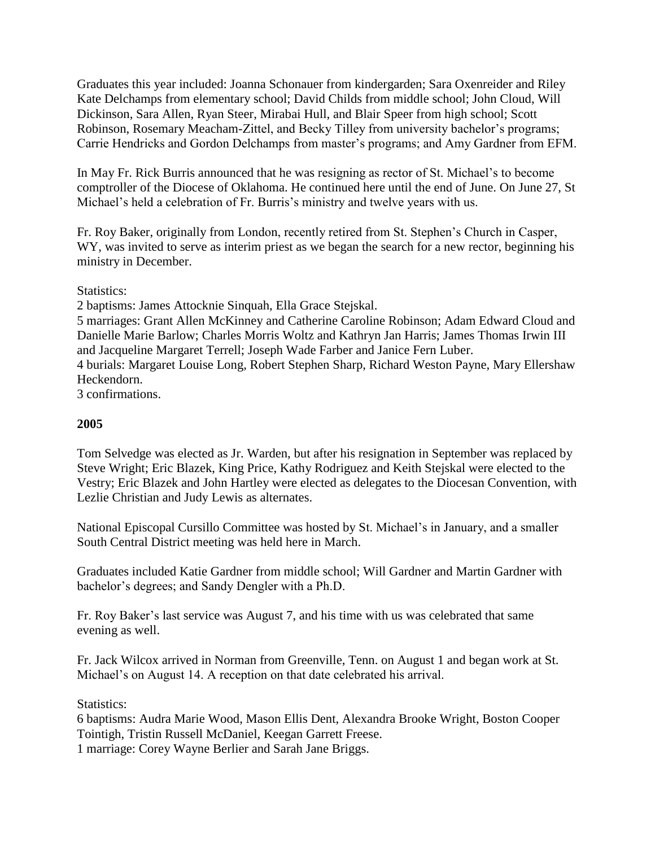Graduates this year included: Joanna Schonauer from kindergarden; Sara Oxenreider and Riley Kate Delchamps from elementary school; David Childs from middle school; John Cloud, Will Dickinson, Sara Allen, Ryan Steer, Mirabai Hull, and Blair Speer from high school; Scott Robinson, Rosemary Meacham-Zittel, and Becky Tilley from university bachelor's programs; Carrie Hendricks and Gordon Delchamps from master's programs; and Amy Gardner from EFM.

In May Fr. Rick Burris announced that he was resigning as rector of St. Michael's to become comptroller of the Diocese of Oklahoma. He continued here until the end of June. On June 27, St Michael's held a celebration of Fr. Burris's ministry and twelve years with us.

Fr. Roy Baker, originally from London, recently retired from St. Stephen's Church in Casper, WY, was invited to serve as interim priest as we began the search for a new rector, beginning his ministry in December.

Statistics:

2 baptisms: James Attocknie Sinquah, Ella Grace Stejskal.

5 marriages: Grant Allen McKinney and Catherine Caroline Robinson; Adam Edward Cloud and Danielle Marie Barlow; Charles Morris Woltz and Kathryn Jan Harris; James Thomas Irwin III and Jacqueline Margaret Terrell; Joseph Wade Farber and Janice Fern Luber.

4 burials: Margaret Louise Long, Robert Stephen Sharp, Richard Weston Payne, Mary Ellershaw Heckendorn.

3 confirmations.

## **2005**

Tom Selvedge was elected as Jr. Warden, but after his resignation in September was replaced by Steve Wright; Eric Blazek, King Price, Kathy Rodriguez and Keith Stejskal were elected to the Vestry; Eric Blazek and John Hartley were elected as delegates to the Diocesan Convention, with Lezlie Christian and Judy Lewis as alternates.

National Episcopal Cursillo Committee was hosted by St. Michael's in January, and a smaller South Central District meeting was held here in March.

Graduates included Katie Gardner from middle school; Will Gardner and Martin Gardner with bachelor's degrees; and Sandy Dengler with a Ph.D.

Fr. Roy Baker's last service was August 7, and his time with us was celebrated that same evening as well.

Fr. Jack Wilcox arrived in Norman from Greenville, Tenn. on August 1 and began work at St. Michael's on August 14. A reception on that date celebrated his arrival.

## Statistics:

6 baptisms: Audra Marie Wood, Mason Ellis Dent, Alexandra Brooke Wright, Boston Cooper Tointigh, Tristin Russell McDaniel, Keegan Garrett Freese.

1 marriage: Corey Wayne Berlier and Sarah Jane Briggs.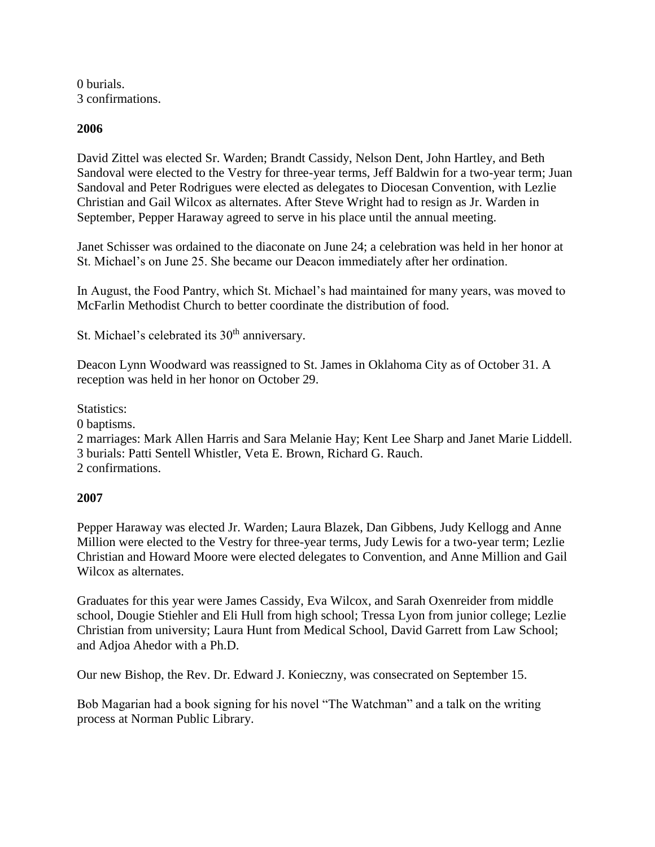0 burials. 3 confirmations.

#### **2006**

David Zittel was elected Sr. Warden; Brandt Cassidy, Nelson Dent, John Hartley, and Beth Sandoval were elected to the Vestry for three-year terms, Jeff Baldwin for a two-year term; Juan Sandoval and Peter Rodrigues were elected as delegates to Diocesan Convention, with Lezlie Christian and Gail Wilcox as alternates. After Steve Wright had to resign as Jr. Warden in September, Pepper Haraway agreed to serve in his place until the annual meeting.

Janet Schisser was ordained to the diaconate on June 24; a celebration was held in her honor at St. Michael's on June 25. She became our Deacon immediately after her ordination.

In August, the Food Pantry, which St. Michael's had maintained for many years, was moved to McFarlin Methodist Church to better coordinate the distribution of food.

St. Michael's celebrated its  $30<sup>th</sup>$  anniversary.

Deacon Lynn Woodward was reassigned to St. James in Oklahoma City as of October 31. A reception was held in her honor on October 29.

Statistics:

0 baptisms.

2 marriages: Mark Allen Harris and Sara Melanie Hay; Kent Lee Sharp and Janet Marie Liddell. 3 burials: Patti Sentell Whistler, Veta E. Brown, Richard G. Rauch.

2 confirmations.

#### **2007**

Pepper Haraway was elected Jr. Warden; Laura Blazek, Dan Gibbens, Judy Kellogg and Anne Million were elected to the Vestry for three-year terms, Judy Lewis for a two-year term; Lezlie Christian and Howard Moore were elected delegates to Convention, and Anne Million and Gail Wilcox as alternates.

Graduates for this year were James Cassidy, Eva Wilcox, and Sarah Oxenreider from middle school, Dougie Stiehler and Eli Hull from high school; Tressa Lyon from junior college; Lezlie Christian from university; Laura Hunt from Medical School, David Garrett from Law School; and Adjoa Ahedor with a Ph.D.

Our new Bishop, the Rev. Dr. Edward J. Konieczny, was consecrated on September 15.

Bob Magarian had a book signing for his novel "The Watchman" and a talk on the writing process at Norman Public Library.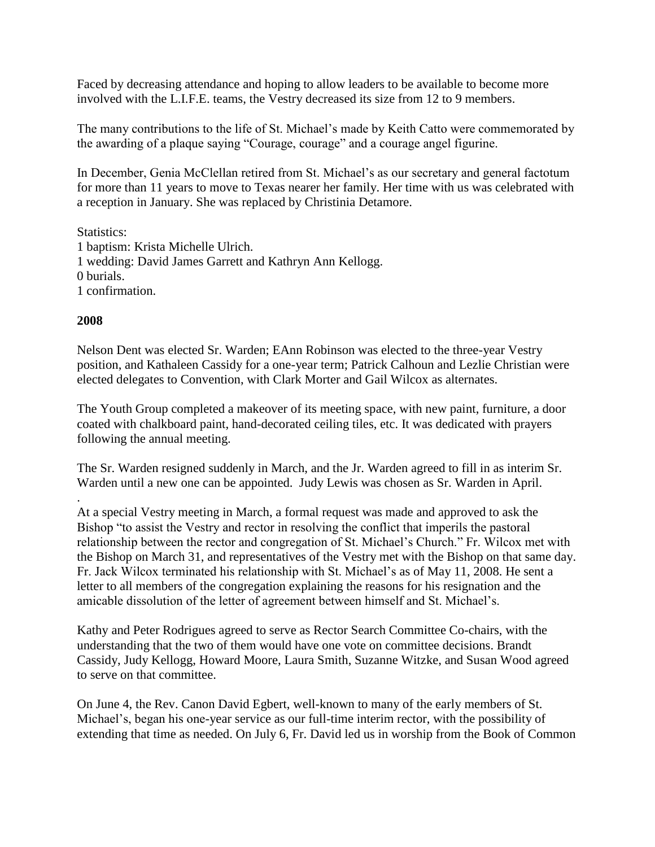Faced by decreasing attendance and hoping to allow leaders to be available to become more involved with the L.I.F.E. teams, the Vestry decreased its size from 12 to 9 members.

The many contributions to the life of St. Michael's made by Keith Catto were commemorated by the awarding of a plaque saying "Courage, courage" and a courage angel figurine.

In December, Genia McClellan retired from St. Michael's as our secretary and general factotum for more than 11 years to move to Texas nearer her family. Her time with us was celebrated with a reception in January. She was replaced by Christinia Detamore.

#### Statistics:

1 baptism: Krista Michelle Ulrich. 1 wedding: David James Garrett and Kathryn Ann Kellogg. 0 burials. 1 confirmation.

#### **2008**

.

Nelson Dent was elected Sr. Warden; EAnn Robinson was elected to the three-year Vestry position, and Kathaleen Cassidy for a one-year term; Patrick Calhoun and Lezlie Christian were elected delegates to Convention, with Clark Morter and Gail Wilcox as alternates.

The Youth Group completed a makeover of its meeting space, with new paint, furniture, a door coated with chalkboard paint, hand-decorated ceiling tiles, etc. It was dedicated with prayers following the annual meeting.

The Sr. Warden resigned suddenly in March, and the Jr. Warden agreed to fill in as interim Sr. Warden until a new one can be appointed. Judy Lewis was chosen as Sr. Warden in April.

At a special Vestry meeting in March, a formal request was made and approved to ask the Bishop "to assist the Vestry and rector in resolving the conflict that imperils the pastoral relationship between the rector and congregation of St. Michael's Church." Fr. Wilcox met with the Bishop on March 31, and representatives of the Vestry met with the Bishop on that same day. Fr. Jack Wilcox terminated his relationship with St. Michael's as of May 11, 2008. He sent a letter to all members of the congregation explaining the reasons for his resignation and the amicable dissolution of the letter of agreement between himself and St. Michael's.

Kathy and Peter Rodrigues agreed to serve as Rector Search Committee Co-chairs, with the understanding that the two of them would have one vote on committee decisions. Brandt Cassidy, Judy Kellogg, Howard Moore, Laura Smith, Suzanne Witzke, and Susan Wood agreed to serve on that committee.

On June 4, the Rev. Canon David Egbert, well-known to many of the early members of St. Michael's, began his one-year service as our full-time interim rector, with the possibility of extending that time as needed. On July 6, Fr. David led us in worship from the Book of Common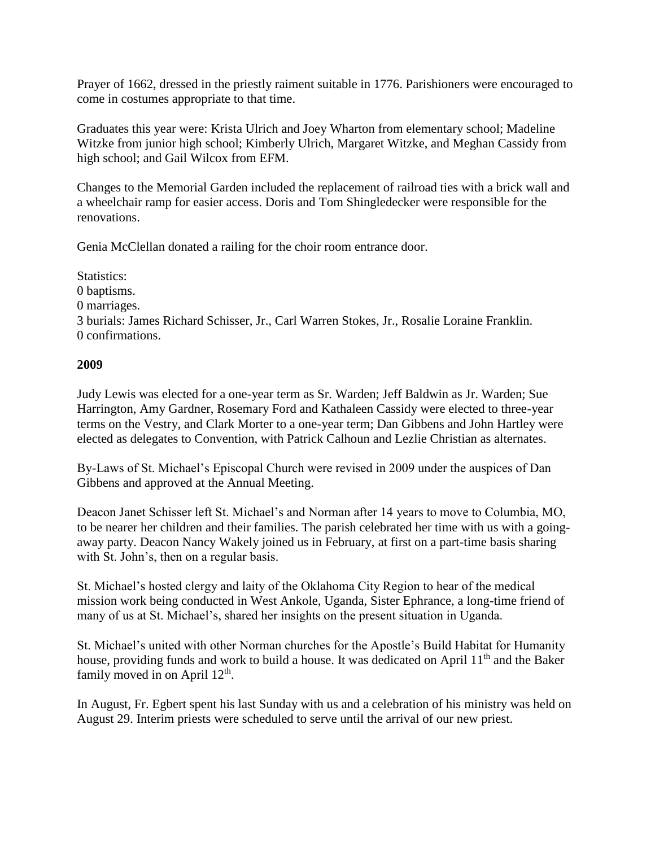Prayer of 1662, dressed in the priestly raiment suitable in 1776. Parishioners were encouraged to come in costumes appropriate to that time.

Graduates this year were: Krista Ulrich and Joey Wharton from elementary school; Madeline Witzke from junior high school; Kimberly Ulrich, Margaret Witzke, and Meghan Cassidy from high school; and Gail Wilcox from EFM.

Changes to the Memorial Garden included the replacement of railroad ties with a brick wall and a wheelchair ramp for easier access. Doris and Tom Shingledecker were responsible for the renovations.

Genia McClellan donated a railing for the choir room entrance door.

Statistics: 0 baptisms. 0 marriages. 3 burials: James Richard Schisser, Jr., Carl Warren Stokes, Jr., Rosalie Loraine Franklin. 0 confirmations.

## **2009**

Judy Lewis was elected for a one-year term as Sr. Warden; Jeff Baldwin as Jr. Warden; Sue Harrington, Amy Gardner, Rosemary Ford and Kathaleen Cassidy were elected to three-year terms on the Vestry, and Clark Morter to a one-year term; Dan Gibbens and John Hartley were elected as delegates to Convention, with Patrick Calhoun and Lezlie Christian as alternates.

By-Laws of St. Michael's Episcopal Church were revised in 2009 under the auspices of Dan Gibbens and approved at the Annual Meeting.

Deacon Janet Schisser left St. Michael's and Norman after 14 years to move to Columbia, MO, to be nearer her children and their families. The parish celebrated her time with us with a goingaway party. Deacon Nancy Wakely joined us in February, at first on a part-time basis sharing with St. John's, then on a regular basis.

St. Michael's hosted clergy and laity of the Oklahoma City Region to hear of the medical mission work being conducted in West Ankole, Uganda, Sister Ephrance, a long-time friend of many of us at St. Michael's, shared her insights on the present situation in Uganda.

St. Michael's united with other Norman churches for the Apostle's Build Habitat for Humanity house, providing funds and work to build a house. It was dedicated on April  $11<sup>th</sup>$  and the Baker family moved in on April  $12<sup>th</sup>$ .

In August, Fr. Egbert spent his last Sunday with us and a celebration of his ministry was held on August 29. Interim priests were scheduled to serve until the arrival of our new priest.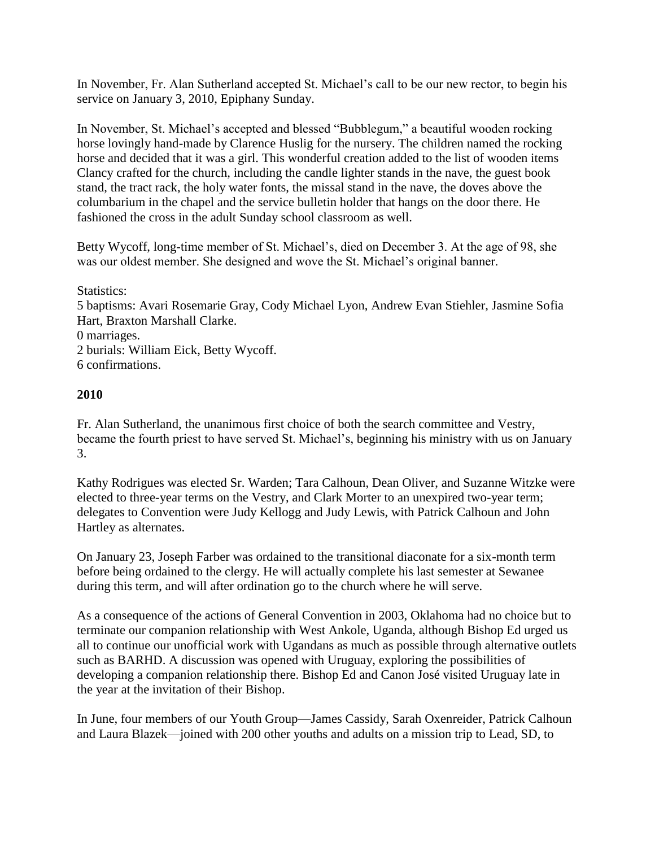In November, Fr. Alan Sutherland accepted St. Michael's call to be our new rector, to begin his service on January 3, 2010, Epiphany Sunday.

In November, St. Michael's accepted and blessed "Bubblegum," a beautiful wooden rocking horse lovingly hand-made by Clarence Huslig for the nursery. The children named the rocking horse and decided that it was a girl. This wonderful creation added to the list of wooden items Clancy crafted for the church, including the candle lighter stands in the nave, the guest book stand, the tract rack, the holy water fonts, the missal stand in the nave, the doves above the columbarium in the chapel and the service bulletin holder that hangs on the door there. He fashioned the cross in the adult Sunday school classroom as well.

Betty Wycoff, long-time member of St. Michael's, died on December 3. At the age of 98, she was our oldest member. She designed and wove the St. Michael's original banner.

Statistics: 5 baptisms: Avari Rosemarie Gray, Cody Michael Lyon, Andrew Evan Stiehler, Jasmine Sofia Hart, Braxton Marshall Clarke. 0 marriages. 2 burials: William Eick, Betty Wycoff. 6 confirmations.

## **2010**

Fr. Alan Sutherland, the unanimous first choice of both the search committee and Vestry, became the fourth priest to have served St. Michael's, beginning his ministry with us on January 3.

Kathy Rodrigues was elected Sr. Warden; Tara Calhoun, Dean Oliver, and Suzanne Witzke were elected to three-year terms on the Vestry, and Clark Morter to an unexpired two-year term; delegates to Convention were Judy Kellogg and Judy Lewis, with Patrick Calhoun and John Hartley as alternates.

On January 23, Joseph Farber was ordained to the transitional diaconate for a six-month term before being ordained to the clergy. He will actually complete his last semester at Sewanee during this term, and will after ordination go to the church where he will serve.

As a consequence of the actions of General Convention in 2003, Oklahoma had no choice but to terminate our companion relationship with West Ankole, Uganda, although Bishop Ed urged us all to continue our unofficial work with Ugandans as much as possible through alternative outlets such as BARHD. A discussion was opened with Uruguay, exploring the possibilities of developing a companion relationship there. Bishop Ed and Canon José visited Uruguay late in the year at the invitation of their Bishop.

In June, four members of our Youth Group—James Cassidy, Sarah Oxenreider, Patrick Calhoun and Laura Blazek—joined with 200 other youths and adults on a mission trip to Lead, SD, to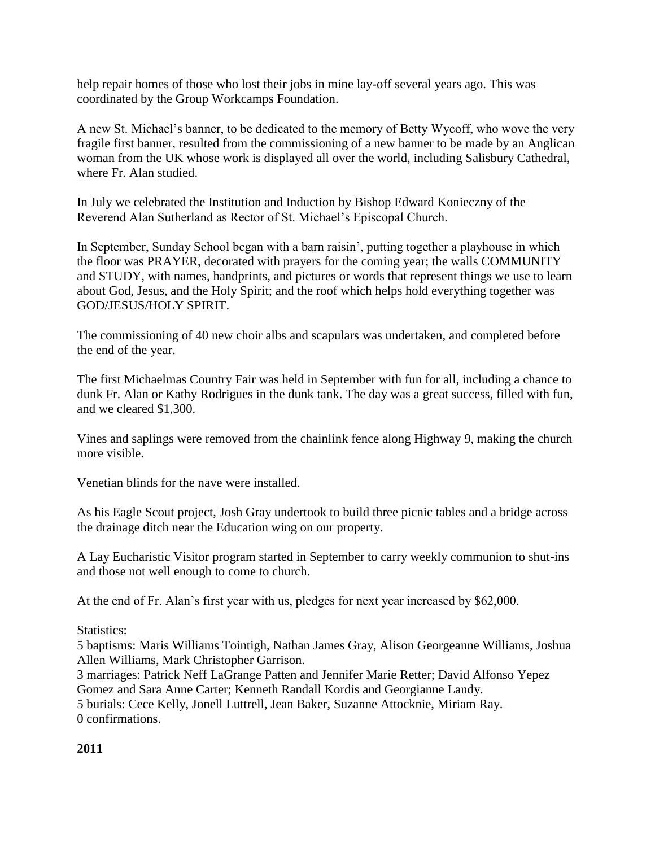help repair homes of those who lost their jobs in mine lay-off several years ago. This was coordinated by the Group Workcamps Foundation.

A new St. Michael's banner, to be dedicated to the memory of Betty Wycoff, who wove the very fragile first banner, resulted from the commissioning of a new banner to be made by an Anglican woman from the UK whose work is displayed all over the world, including Salisbury Cathedral, where Fr. Alan studied.

In July we celebrated the Institution and Induction by Bishop Edward Konieczny of the Reverend Alan Sutherland as Rector of St. Michael's Episcopal Church.

In September, Sunday School began with a barn raisin', putting together a playhouse in which the floor was PRAYER, decorated with prayers for the coming year; the walls COMMUNITY and STUDY, with names, handprints, and pictures or words that represent things we use to learn about God, Jesus, and the Holy Spirit; and the roof which helps hold everything together was GOD/JESUS/HOLY SPIRIT.

The commissioning of 40 new choir albs and scapulars was undertaken, and completed before the end of the year.

The first Michaelmas Country Fair was held in September with fun for all, including a chance to dunk Fr. Alan or Kathy Rodrigues in the dunk tank. The day was a great success, filled with fun, and we cleared \$1,300.

Vines and saplings were removed from the chainlink fence along Highway 9, making the church more visible.

Venetian blinds for the nave were installed.

As his Eagle Scout project, Josh Gray undertook to build three picnic tables and a bridge across the drainage ditch near the Education wing on our property.

A Lay Eucharistic Visitor program started in September to carry weekly communion to shut-ins and those not well enough to come to church.

At the end of Fr. Alan's first year with us, pledges for next year increased by \$62,000.

Statistics:

5 baptisms: Maris Williams Tointigh, Nathan James Gray, Alison Georgeanne Williams, Joshua Allen Williams, Mark Christopher Garrison.

3 marriages: Patrick Neff LaGrange Patten and Jennifer Marie Retter; David Alfonso Yepez Gomez and Sara Anne Carter; Kenneth Randall Kordis and Georgianne Landy.

5 burials: Cece Kelly, Jonell Luttrell, Jean Baker, Suzanne Attocknie, Miriam Ray. 0 confirmations.

#### **2011**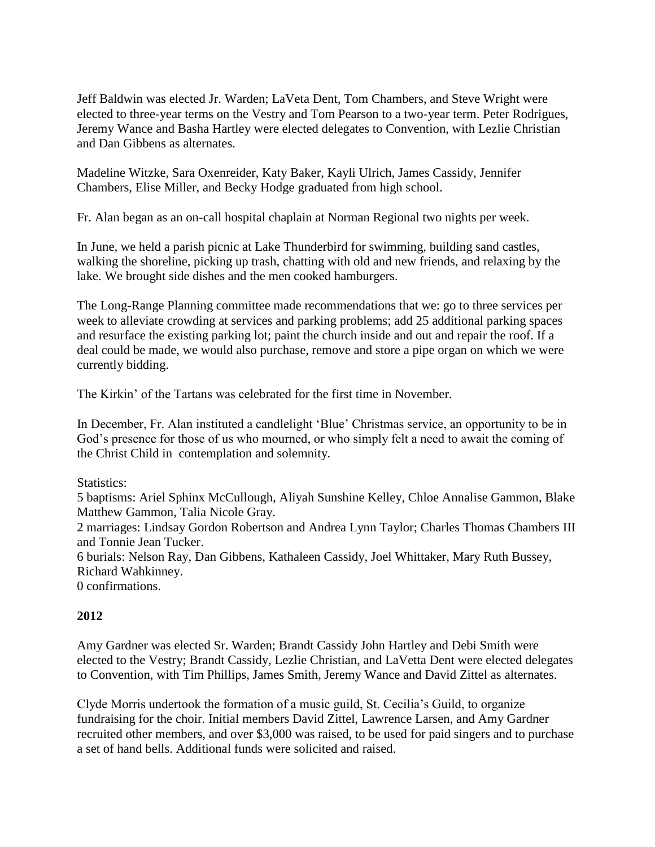Jeff Baldwin was elected Jr. Warden; LaVeta Dent, Tom Chambers, and Steve Wright were elected to three-year terms on the Vestry and Tom Pearson to a two-year term. Peter Rodrigues, Jeremy Wance and Basha Hartley were elected delegates to Convention, with Lezlie Christian and Dan Gibbens as alternates.

Madeline Witzke, Sara Oxenreider, Katy Baker, Kayli Ulrich, James Cassidy, Jennifer Chambers, Elise Miller, and Becky Hodge graduated from high school.

Fr. Alan began as an on-call hospital chaplain at Norman Regional two nights per week.

In June, we held a parish picnic at Lake Thunderbird for swimming, building sand castles, walking the shoreline, picking up trash, chatting with old and new friends, and relaxing by the lake. We brought side dishes and the men cooked hamburgers.

The Long-Range Planning committee made recommendations that we: go to three services per week to alleviate crowding at services and parking problems; add 25 additional parking spaces and resurface the existing parking lot; paint the church inside and out and repair the roof. If a deal could be made, we would also purchase, remove and store a pipe organ on which we were currently bidding.

The Kirkin' of the Tartans was celebrated for the first time in November.

In December, Fr. Alan instituted a candlelight 'Blue' Christmas service, an opportunity to be in God's presence for those of us who mourned, or who simply felt a need to await the coming of the Christ Child in contemplation and solemnity.

Statistics:

5 baptisms: Ariel Sphinx McCullough, Aliyah Sunshine Kelley, Chloe Annalise Gammon, Blake Matthew Gammon, Talia Nicole Gray.

2 marriages: Lindsay Gordon Robertson and Andrea Lynn Taylor; Charles Thomas Chambers III and Tonnie Jean Tucker.

6 burials: Nelson Ray, Dan Gibbens, Kathaleen Cassidy, Joel Whittaker, Mary Ruth Bussey, Richard Wahkinney.

0 confirmations.

## **2012**

Amy Gardner was elected Sr. Warden; Brandt Cassidy John Hartley and Debi Smith were elected to the Vestry; Brandt Cassidy, Lezlie Christian, and LaVetta Dent were elected delegates to Convention, with Tim Phillips, James Smith, Jeremy Wance and David Zittel as alternates.

Clyde Morris undertook the formation of a music guild, St. Cecilia's Guild, to organize fundraising for the choir. Initial members David Zittel, Lawrence Larsen, and Amy Gardner recruited other members, and over \$3,000 was raised, to be used for paid singers and to purchase a set of hand bells. Additional funds were solicited and raised.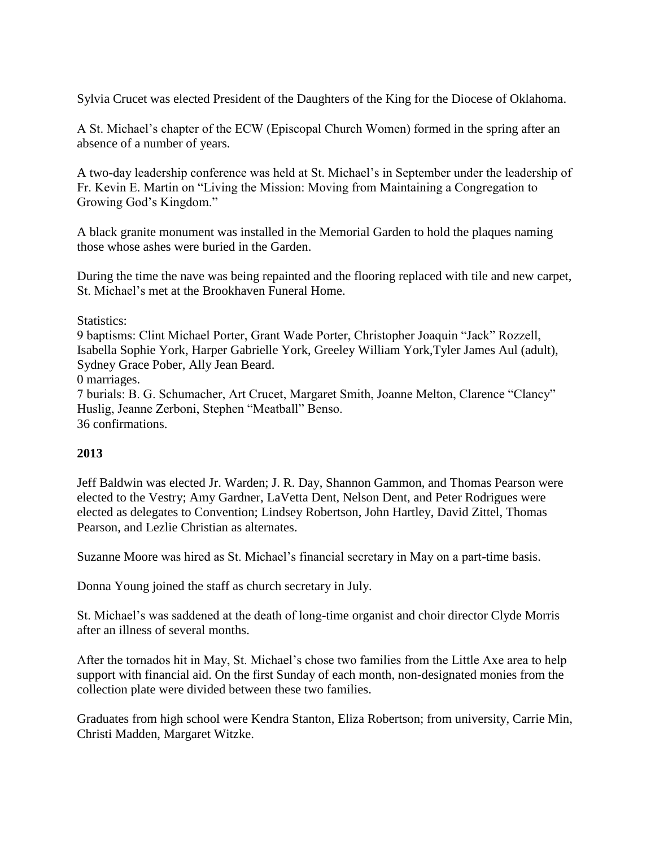Sylvia Crucet was elected President of the Daughters of the King for the Diocese of Oklahoma.

A St. Michael's chapter of the ECW (Episcopal Church Women) formed in the spring after an absence of a number of years.

A two-day leadership conference was held at St. Michael's in September under the leadership of Fr. Kevin E. Martin on "Living the Mission: Moving from Maintaining a Congregation to Growing God's Kingdom."

A black granite monument was installed in the Memorial Garden to hold the plaques naming those whose ashes were buried in the Garden.

During the time the nave was being repainted and the flooring replaced with tile and new carpet, St. Michael's met at the Brookhaven Funeral Home.

Statistics:

9 baptisms: Clint Michael Porter, Grant Wade Porter, Christopher Joaquin "Jack" Rozzell, Isabella Sophie York, Harper Gabrielle York, Greeley William York,Tyler James Aul (adult), Sydney Grace Pober, Ally Jean Beard.

0 marriages.

7 burials: B. G. Schumacher, Art Crucet, Margaret Smith, Joanne Melton, Clarence "Clancy" Huslig, Jeanne Zerboni, Stephen "Meatball" Benso. 36 confirmations.

## **2013**

Jeff Baldwin was elected Jr. Warden; J. R. Day, Shannon Gammon, and Thomas Pearson were elected to the Vestry; Amy Gardner, LaVetta Dent, Nelson Dent, and Peter Rodrigues were elected as delegates to Convention; Lindsey Robertson, John Hartley, David Zittel, Thomas Pearson, and Lezlie Christian as alternates.

Suzanne Moore was hired as St. Michael's financial secretary in May on a part-time basis.

Donna Young joined the staff as church secretary in July.

St. Michael's was saddened at the death of long-time organist and choir director Clyde Morris after an illness of several months.

After the tornados hit in May, St. Michael's chose two families from the Little Axe area to help support with financial aid. On the first Sunday of each month, non-designated monies from the collection plate were divided between these two families.

Graduates from high school were Kendra Stanton, Eliza Robertson; from university, Carrie Min, Christi Madden, Margaret Witzke.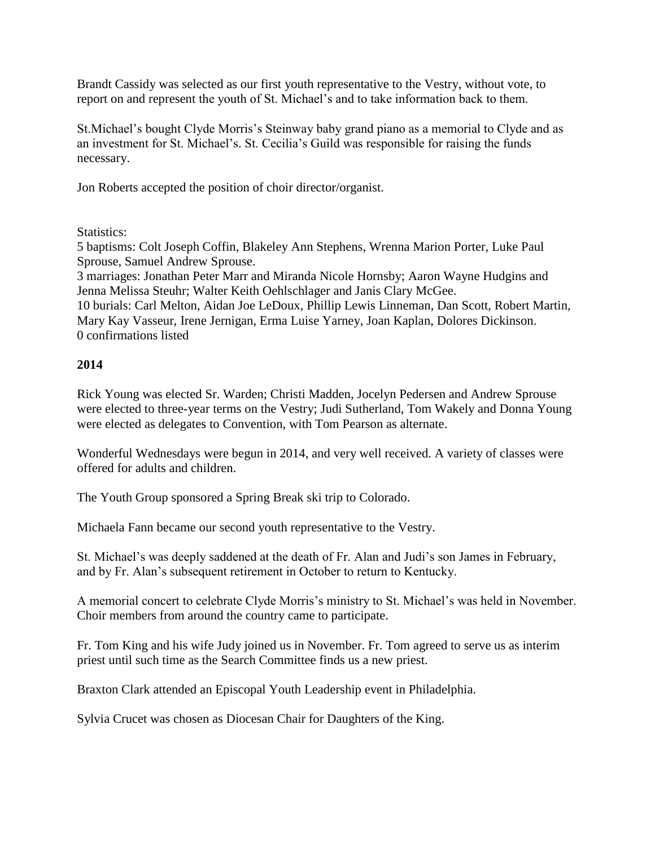Brandt Cassidy was selected as our first youth representative to the Vestry, without vote, to report on and represent the youth of St. Michael's and to take information back to them.

St.Michael's bought Clyde Morris's Steinway baby grand piano as a memorial to Clyde and as an investment for St. Michael's. St. Cecilia's Guild was responsible for raising the funds necessary.

Jon Roberts accepted the position of choir director/organist.

Statistics:

5 baptisms: Colt Joseph Coffin, Blakeley Ann Stephens, Wrenna Marion Porter, Luke Paul Sprouse, Samuel Andrew Sprouse.

3 marriages: Jonathan Peter Marr and Miranda Nicole Hornsby; Aaron Wayne Hudgins and Jenna Melissa Steuhr; Walter Keith Oehlschlager and Janis Clary McGee.

10 burials: Carl Melton, Aidan Joe LeDoux, Phillip Lewis Linneman, Dan Scott, Robert Martin, Mary Kay Vasseur, Irene Jernigan, Erma Luise Yarney, Joan Kaplan, Dolores Dickinson. 0 confirmations listed

## **2014**

Rick Young was elected Sr. Warden; Christi Madden, Jocelyn Pedersen and Andrew Sprouse were elected to three-year terms on the Vestry; Judi Sutherland, Tom Wakely and Donna Young were elected as delegates to Convention, with Tom Pearson as alternate.

Wonderful Wednesdays were begun in 2014, and very well received. A variety of classes were offered for adults and children.

The Youth Group sponsored a Spring Break ski trip to Colorado.

Michaela Fann became our second youth representative to the Vestry.

St. Michael's was deeply saddened at the death of Fr. Alan and Judi's son James in February, and by Fr. Alan's subsequent retirement in October to return to Kentucky.

A memorial concert to celebrate Clyde Morris's ministry to St. Michael's was held in November. Choir members from around the country came to participate.

Fr. Tom King and his wife Judy joined us in November. Fr. Tom agreed to serve us as interim priest until such time as the Search Committee finds us a new priest.

Braxton Clark attended an Episcopal Youth Leadership event in Philadelphia.

Sylvia Crucet was chosen as Diocesan Chair for Daughters of the King.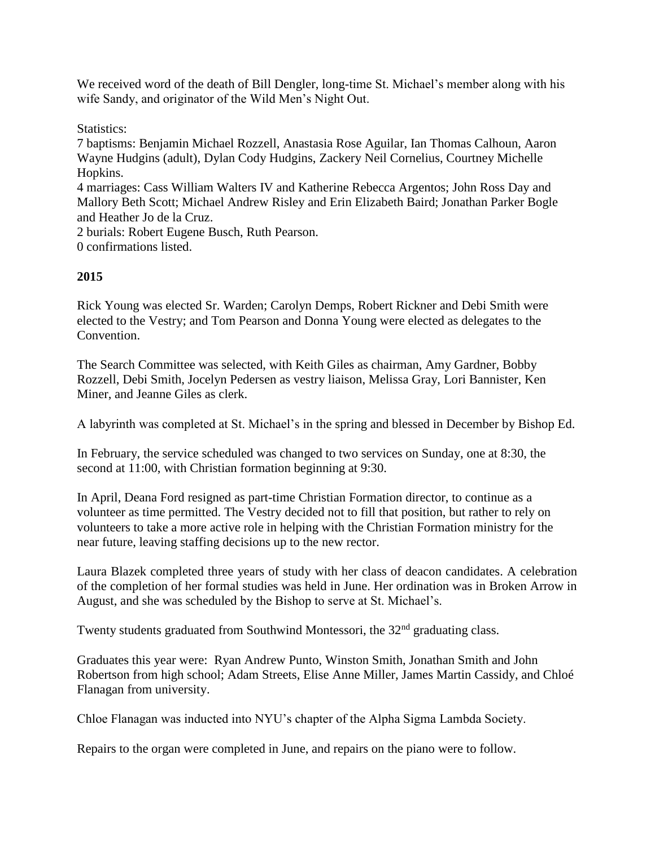We received word of the death of Bill Dengler, long-time St. Michael's member along with his wife Sandy, and originator of the Wild Men's Night Out.

Statistics:

7 baptisms: Benjamin Michael Rozzell, Anastasia Rose Aguilar, Ian Thomas Calhoun, Aaron Wayne Hudgins (adult), Dylan Cody Hudgins, Zackery Neil Cornelius, Courtney Michelle Hopkins.

4 marriages: Cass William Walters IV and Katherine Rebecca Argentos; John Ross Day and Mallory Beth Scott; Michael Andrew Risley and Erin Elizabeth Baird; Jonathan Parker Bogle and Heather Jo de la Cruz.

2 burials: Robert Eugene Busch, Ruth Pearson.

0 confirmations listed.

## **2015**

Rick Young was elected Sr. Warden; Carolyn Demps, Robert Rickner and Debi Smith were elected to the Vestry; and Tom Pearson and Donna Young were elected as delegates to the Convention.

The Search Committee was selected, with Keith Giles as chairman, Amy Gardner, Bobby Rozzell, Debi Smith, Jocelyn Pedersen as vestry liaison, Melissa Gray, Lori Bannister, Ken Miner, and Jeanne Giles as clerk.

A labyrinth was completed at St. Michael's in the spring and blessed in December by Bishop Ed.

In February, the service scheduled was changed to two services on Sunday, one at 8:30, the second at 11:00, with Christian formation beginning at 9:30.

In April, Deana Ford resigned as part-time Christian Formation director, to continue as a volunteer as time permitted. The Vestry decided not to fill that position, but rather to rely on volunteers to take a more active role in helping with the Christian Formation ministry for the near future, leaving staffing decisions up to the new rector.

Laura Blazek completed three years of study with her class of deacon candidates. A celebration of the completion of her formal studies was held in June. Her ordination was in Broken Arrow in August, and she was scheduled by the Bishop to serve at St. Michael's.

Twenty students graduated from Southwind Montessori, the 32<sup>nd</sup> graduating class.

Graduates this year were: Ryan Andrew Punto, Winston Smith, Jonathan Smith and John Robertson from high school; Adam Streets, Elise Anne Miller, James Martin Cassidy, and Chloé Flanagan from university.

Chloe Flanagan was inducted into NYU's chapter of the Alpha Sigma Lambda Society.

Repairs to the organ were completed in June, and repairs on the piano were to follow.